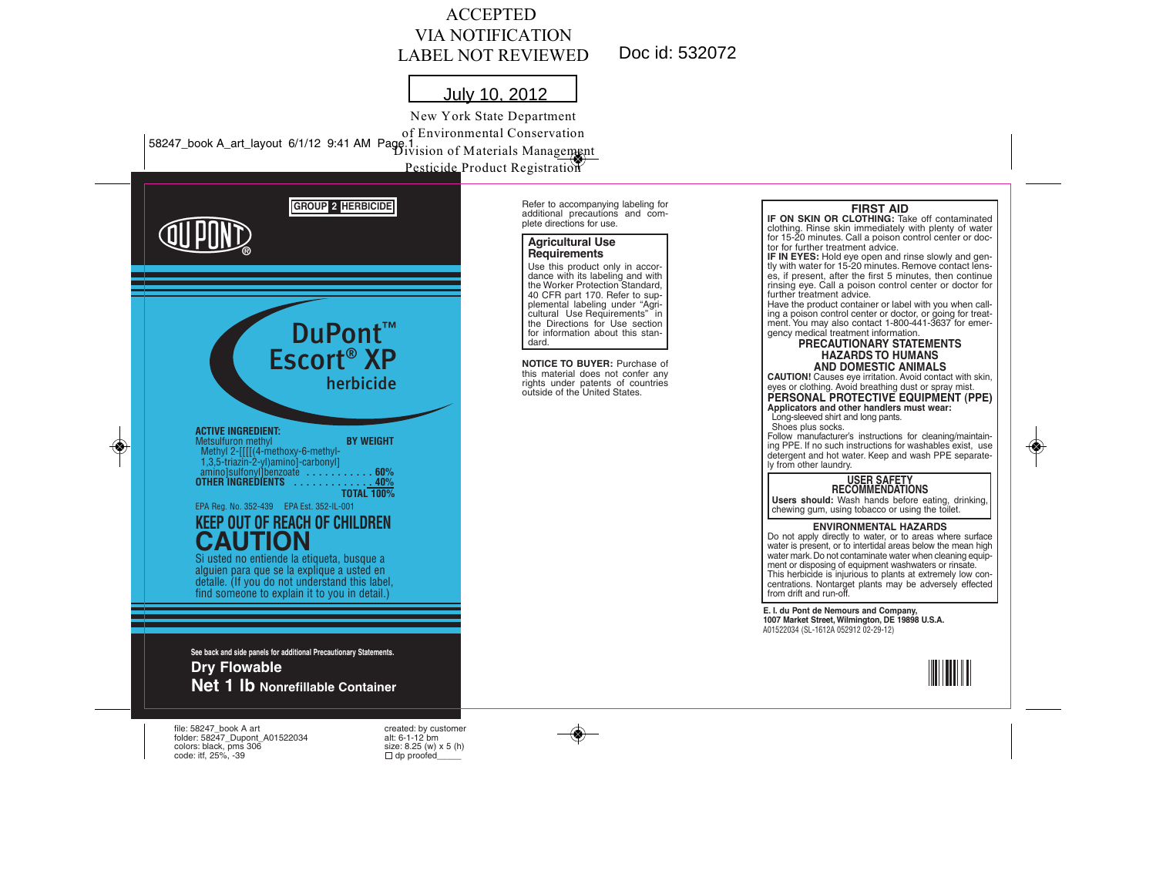### ACCEPTED VIA NOTIFICATION LABEL NOT REVIEWED

Doc id: 532072

Refer to accompanying labeling for additional precautions and complete directions for use. **Agricultural Use Requirements**

Use this product only in accor-dance with its labeling and with the Worker Protection Standard, 40 CFR part 170. Refer to supplemental labeling under "Agricultural Use Requirements" in the Directions for Use section for information about this stan-

**NOTICE TO BUYER:** Purchase of this material does not confer any rights under patents of countries outside of the United States.

dard.

# July 10, 2012

58247\_book A\_art\_layout 6/1/12 9:41 AM Page 1 Division of Materials Management New York State Department of Environmental Conservation Pesticide Product Registration



folder: 58247\_Dupont\_A01522034 alt: 6-1-12 bm colors: black, pms  $306$  size: 8.25 (w) x  $\text{code}: \text{iff, } 25\%$ , -39  $\Box$  dp proofed code: itf,  $25\%$ ,  $-39$ 



#### **FIRST AID**

**IF ON SKIN OR CLOTHING:** Take off contaminated clothing. Rinse skin immediately with plenty of water for 15-20 minutes. Call a poison control center or doctor for further treatment advice.

**IF IN EYES:** Hold eye open and rinse slowly and gen-tly with water for 15-20 minutes. Remove contact lenses, if present, after the first 5 minutes, then continue rinsing eye. Call a poison control center or doctor for further treatment advice.

Have the product container or label with you when calling a poison control center or doctor, or going for treat-ment. You may also contact 1-800-441-3637 for emergency medical treatment information.

#### **PRECAUTIONARY STATEMENTS HAZARDS TO HUMANS AND DOMESTIC ANIMALS**

**CAUTION!** Causes eye irritation. Avoid contact with skin, eyes or clothing. Avoid breathing dust or spray mist.

**PERSONAL PROTECTIVE EQUIPMENT (PPE) Applicators and other handlers must wear:**

Long-sleeved shirt and long pants. Shoes plus socks.

Follow manufacturer's instructions for cleaning/maintaining PPE. If no such instructions for washables exist, use detergent and hot water. Keep and wash PPE separately from other laundry.

### **USER SAFETY RECOMMENDATIONS**

**Users should:** Wash hands before eating, drinking, chewing gum, using tobacco or using the toilet.

**ENVIRONMENTAL HAZARDS** Do not apply directly to water, or to areas where surface water is present, or to intertidal areas below the mean high water mark. Do not contaminate water when cleaning equipment or disposing of equipment washwaters or rinsate. This herbicide is injurious to plants at extremely low concentrations. Nontarget plants may be adversely effected<br>from drift and run-off.

**E. I. du Pont de Nemours and Company, 1007 Market Street, Wilmington, DE 19898 U.S.A.** A01522034 (SL-1612A 052912 02-29-12)



◈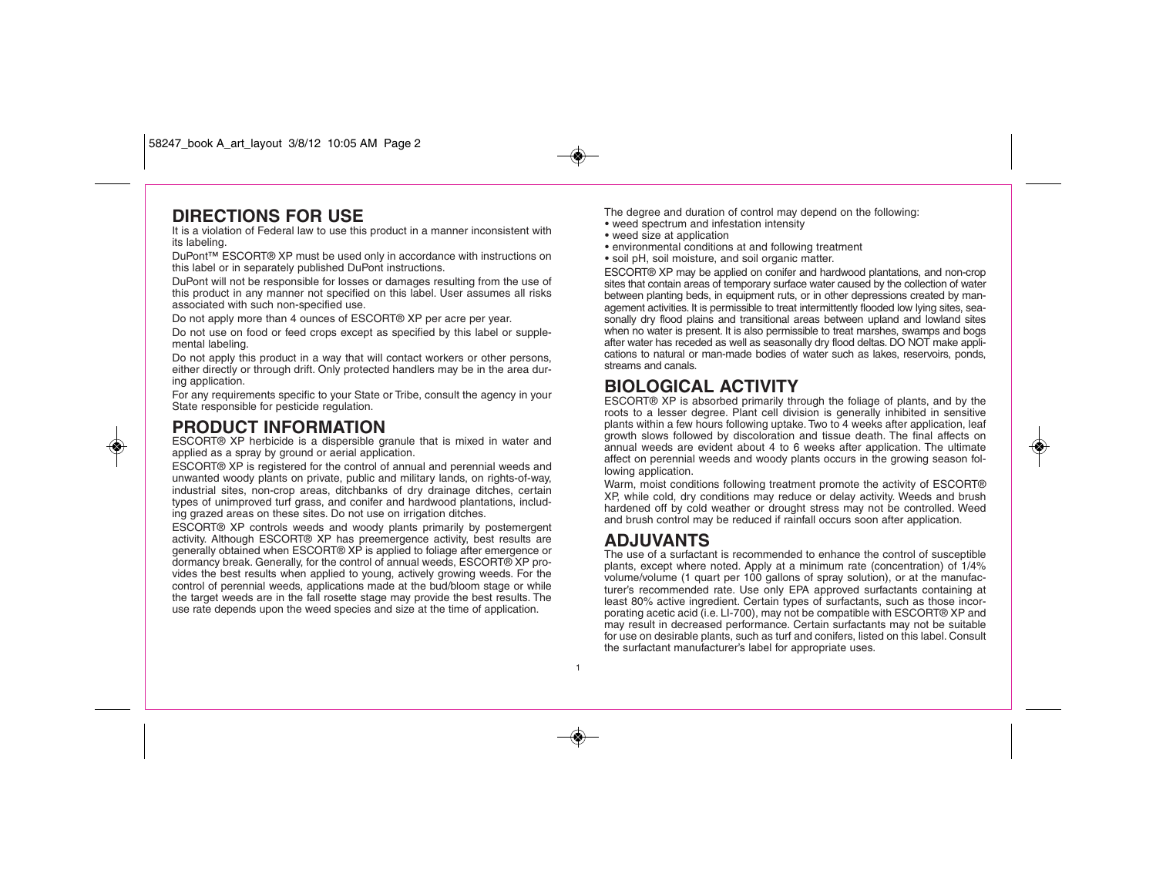### **DIRECTIONS FOR USE**

It is a violation of Federal law to use this product in a manner inconsistent with its labeling.

DuPont™ ESCORT® XP must be used only in accordance with instructions on this label or in separately published DuPont instructions.

DuPont will not be responsible for losses or damages resulting from the use of this product in any manner not specified on this label. User assumes all risks associated with such non-specified use.

Do not apply more than 4 ounces of ESCORT® XP per acre per year.

Do not use on food or feed crops except as specified by this label or supplemental labeling.

Do not apply this product in a way that will contact workers or other persons, either directly or through drift. Only protected handlers may be in the area during application.

For any requirements specific to your State or Tribe, consult the agency in your State responsible for pesticide regulation.

### **PRODUCT INFORMATION**

◈

ESCORT® XP herbicide is a dispersible granule that is mixed in water and applied as a spray by ground or aerial application.

ESCORT® XP is registered for the control of annual and perennial weeds and unwanted woody plants on private, public and military lands, on rights-of-way, industrial sites, non-crop areas, ditchbanks of dry drainage ditches, certain types of unimproved turf grass, and conifer and hardwood plantations, including grazed areas on these sites. Do not use on irrigation ditches.

ESCORT® XP controls weeds and woody plants primarily by postemergent activity. Although ESCORT® XP has preemergence activity, best results are generally obtained when ESCORT® XP is applied to foliage after emergence or dormancy break. Generally, for the control of annual weeds, ESCORT® XP provides the best results when applied to young, actively growing weeds. For the control of perennial weeds, applications made at the bud/bloom stage or while the target weeds are in the fall rosette stage may provide the best results. The use rate depends upon the weed species and size at the time of application.

The degree and duration of control may depend on the following: • weed spectrum and infestation intensity

- weed size at application
- environmental conditions at and following treatment
- soil pH, soil moisture, and soil organic matter.

ESCORT® XP may be applied on conifer and hardwood plantations, and non-crop sites that contain areas of temporary surface water caused by the collection of water between planting beds, in equipment ruts, or in other depressions created by management activities. It is permissible to treat intermittently flooded low lying sites, seasonally dry flood plains and transitional areas between upland and lowland sites when no water is present. It is also permissible to treat marshes, swamps and bogs after water has receded as well as seasonally dry flood deltas. DO NOT make applications to natural or man-made bodies of water such as lakes, reservoirs, ponds, streams and canals.

## **BIOLOGICAL ACTIVITY**

ESCORT® XP is absorbed primarily through the foliage of plants, and by the roots to a lesser degree. Plant cell division is generally inhibited in sensitive plants within a few hours following uptake. Two to 4 weeks after application, leaf growth slows followed by discoloration and tissue death. The final affects on annual weeds are evident about 4 to 6 weeks after application. The ultimate affect on perennial weeds and woody plants occurs in the growing season following application.

Warm, moist conditions following treatment promote the activity of ESCORT® XP, while cold, dry conditions may reduce or delay activity. Weeds and brush hardened off by cold weather or drought stress may not be controlled. Weed and brush control may be reduced if rainfall occurs soon after application.

### **ADJUVANTS**

The use of a surfactant is recommended to enhance the control of susceptible plants, except where noted. Apply at a minimum rate (concentration) of 1/4% volume/volume (1 quart per 100 gallons of spray solution), or at the manufacturer's recommended rate. Use only EPA approved surfactants containing at least 80% active ingredient. Certain types of surfactants, such as those incorporating acetic acid (i.e. LI-700), may not be compatible with ESCORT® XP and may result in decreased performance. Certain surfactants may not be suitable for use on desirable plants, such as turf and conifers, listed on this label. Consult the surfactant manufacturer's label for appropriate uses.

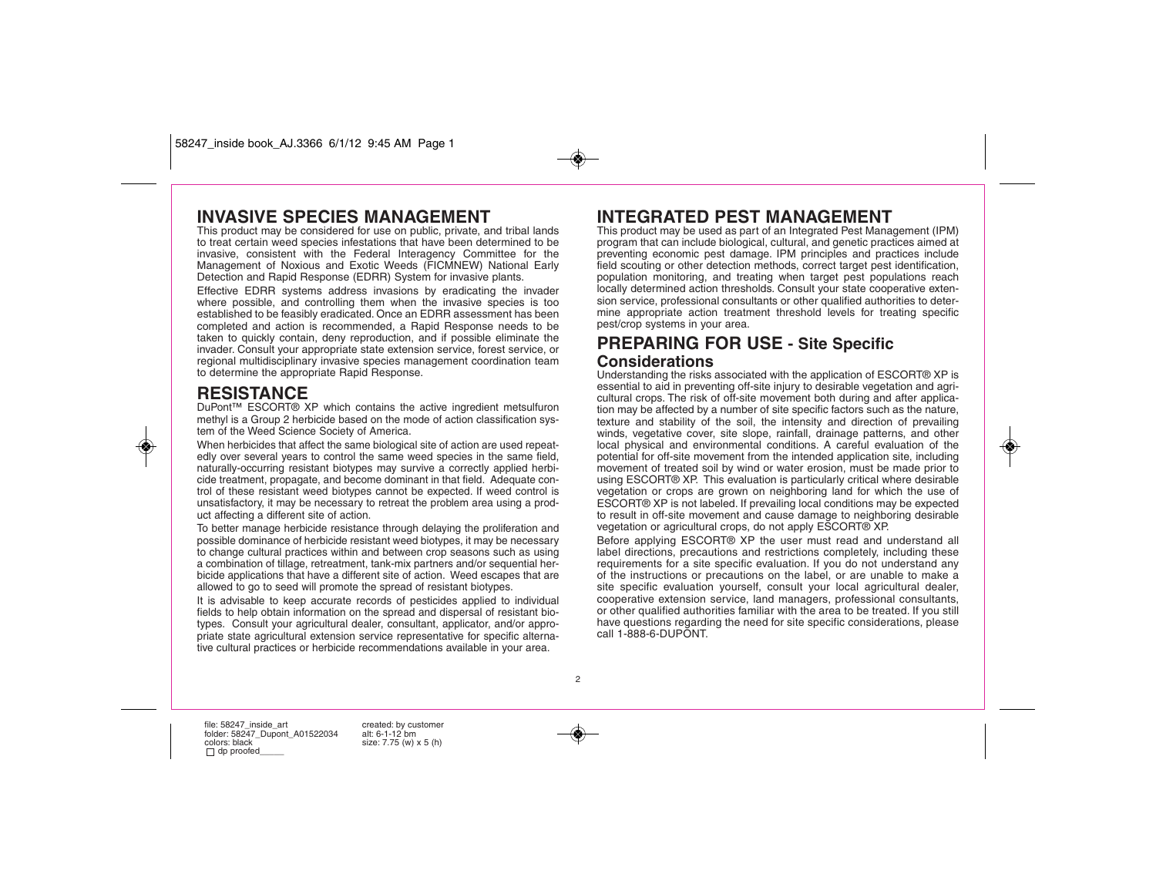58247\_inside book\_AJ.3366 6/1/12 9:45 AM Page 1

### **INVASIVE SPECIES MANAGEMENT**

This product may be considered for use on public, private, and tribal lands to treat certain weed species infestations that have been determined to be invasive, consistent with the Federal Interagency Committee for the Management of Noxious and Exotic Weeds (FICMNEW) National Early Detection and Rapid Response (EDRR) System for invasive plants.

Effective EDRR systems address invasions by eradicating the invader where possible, and controlling them when the invasive species is too established to be feasibly eradicated. Once an EDRR assessment has been completed and action is recommended, a Rapid Response needs to be taken to quickly contain, deny reproduction, and if possible eliminate the invader. Consult your appropriate state extension service, forest service, or regional multidisciplinary invasive species management coordination team to determine the appropriate Rapid Response.

### **RESISTANCE**

◈

DuPont™ ESCORT® XP which contains the active ingredient metsulfuron methyl is a Group 2 herbicide based on the mode of action classification system of the Weed Science Society of America.

When herbicides that affect the same biological site of action are used repeatedly over several years to control the same weed species in the same field, naturally-occurring resistant biotypes may survive a correctly applied herbicide treatment, propagate, and become dominant in that field. Adequate control of these resistant weed biotypes cannot be expected. If weed control is unsatisfactory, it may be necessary to retreat the problem area using a product affecting a different site of action.

To better manage herbicide resistance through delaying the proliferation and possible dominance of herbicide resistant weed biotypes, it may be necessary to change cultural practices within and between crop seasons such as using a combination of tillage, retreatment, tank-mix partners and/or sequential herbicide applications that have a different site of action. Weed escapes that are allowed to go to seed will promote the spread of resistant biotypes.

It is advisable to keep accurate records of pesticides applied to individual fields to help obtain information on the spread and dispersal of resistant biotypes. Consult your agricultural dealer, consultant, applicator, and/or appropriate state agricultural extension service representative for specific alternative cultural practices or herbicide recommendations available in your area.

### **INTEGRATED PEST MANAGEMENT**

This product may be used as part of an Integrated Pest Management (IPM) program that can include biological, cultural, and genetic practices aimed at preventing economic pest damage. IPM principles and practices include field scouting or other detection methods, correct target pest identification, population monitoring, and treating when target pest populations reach locally determined action thresholds. Consult your state cooperative extension service, professional consultants or other qualified authorities to determine appropriate action treatment threshold levels for treating specific pest/crop systems in your area.

### **PREPARING FOR USE - Site Specific Considerations**

Understanding the risks associated with the application of ESCORT® XP is essential to aid in preventing off-site injury to desirable vegetation and agricultural crops. The risk of off-site movement both during and after application may be affected by a number of site specific factors such as the nature, texture and stability of the soil, the intensity and direction of prevailing winds, vegetative cover, site slope, rainfall, drainage patterns, and other local physical and environmental conditions. A careful evaluation of the potential for off-site movement from the intended application site, including movement of treated soil by wind or water erosion, must be made prior to using ESCORT® XP. This evaluation is particularly critical where desirable vegetation or crops are grown on neighboring land for which the use of ESCORT® XP is not labeled. If prevailing local conditions may be expected to result in off-site movement and cause damage to neighboring desirable vegetation or agricultural crops, do not apply ESCORT® XP.

Before applying ESCORT® XP the user must read and understand all label directions, precautions and restrictions completely, including these requirements for a site specific evaluation. If you do not understand any of the instructions or precautions on the label, or are unable to make a site specific evaluation yourself, consult your local agricultural dealer, cooperative extension service, land managers, professional consultants, or other qualified authorities familiar with the area to be treated. If you still have questions regarding the need for site specific considerations, please call 1-888-6-DUPONT.

2

file: 58247\_inside\_art created: by customer<br>folder: 58247 Dupont A01522034 alt: 6-1-12 bm folder: 58247\_Dupont\_A01522034<br>colors: black  $\Box$  dp proofed

size: 7.75 (w) x 5 (h)

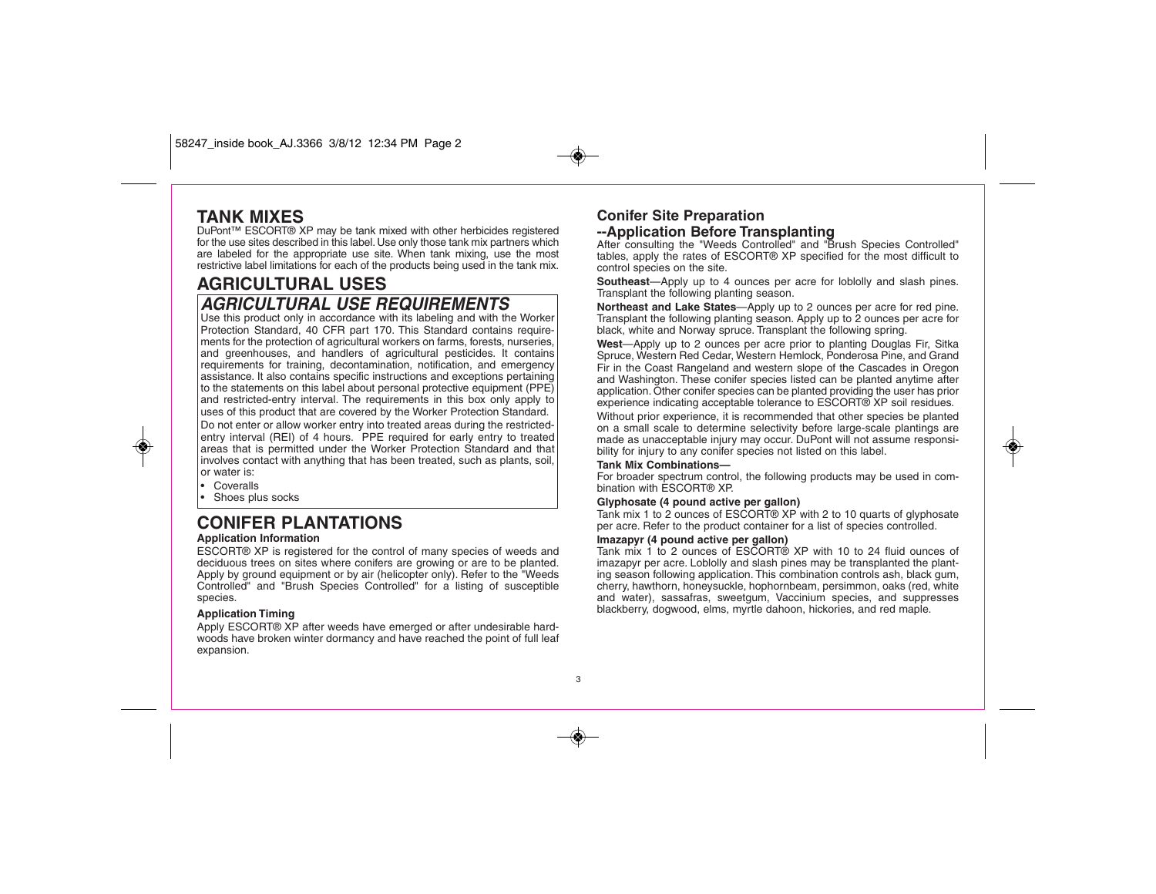### **TANK MIXES**

DuPont™ ESCORT® XP may be tank mixed with other herbicides registered for the use sites described in this label. Use only those tank mix partners which are labeled for the appropriate use site. When tank mixing, use the most restrictive label limitations for each of the products being used in the tank mix.

# **AGRICULTURAL USES**

### **AGRICULTURAL USE REQUIREMENTS**

Use this product only in accordance with its labeling and with the Worker Protection Standard, 40 CFR part 170. This Standard contains requirements for the protection of agricultural workers on farms, forests, nurseries, and greenhouses, and handlers of agricultural pesticides. It contains requirements for training, decontamination, notification, and emergency assistance. It also contains specific instructions and exceptions pertaining to the statements on this label about personal protective equipment (PPE) and restricted-entry interval. The requirements in this box only apply to uses of this product that are covered by the Worker Protection Standard. Do not enter or allow worker entry into treated areas during the restrictedentry interval (REI) of 4 hours. PPE required for early entry to treated areas that is permitted under the Worker Protection Standard and that involves contact with anything that has been treated, such as plants, soil, or water is:

#### • Coveralls

◈

•Shoes plus socks

## **CONIFER PLANTATIONS**

#### **Application Information**

ESCORT® XP is registered for the control of many species of weeds and deciduous trees on sites where conifers are growing or are to be planted. Apply by ground equipment or by air (helicopter only). Refer to the "Weeds Controlled" and "Brush Species Controlled" for a listing of susceptible species.

#### **Application Timing**

Apply ESCORT® XP after weeds have emerged or after undesirable hardwoods have broken winter dormancy and have reached the point of full leaf expansion.

#### **Conifer Site Preparation --Application Before Transplanting**

After consulting the "Weeds Controlled" and "Brush Species Controlled" tables, apply the rates of ESCORT® XP specified for the most difficult to control species on the site.

**Southeast**—Apply up to 4 ounces per acre for loblolly and slash pines. Transplant the following planting season.

**Northeast and Lake States**—Apply up to 2 ounces per acre for red pine. Transplant the following planting season. Apply up to 2 ounces per acre for black, white and Norway spruce. Transplant the following spring.

**West**—Apply up to 2 ounces per acre prior to planting Douglas Fir, Sitka Spruce, Western Red Cedar, Western Hemlock, Ponderosa Pine, and Grand Fir in the Coast Rangeland and western slope of the Cascades in Oregon and Washington. These conifer species listed can be planted anytime after application. Other conifer species can be planted providing the user has prior experience indicating acceptable tolerance to ESCORT® XP soil residues.

Without prior experience, it is recommended that other species be planted on a small scale to determine selectivity before large-scale plantings are made as unacceptable injury may occur. DuPont will not assume responsibility for injury to any conifer species not listed on this label.

#### **Tank Mix Combinations—**

For broader spectrum control, the following products may be used in combination with ESCORT® XP.

#### **Glyphosate (4 pound active per gallon)**

Tank mix 1 to 2 ounces of ESCORT<sup>®</sup> XP with 2 to 10 quarts of glyphosate per acre. Refer to the product container for a list of species controlled.

#### **Imazapyr (4 pound active per gallon)**

Tank mix 1 to 2 ounces of ESCORT® XP with 10 to 24 fluid ounces of imazapyr per acre. Loblolly and slash pines may be transplanted the planting season following application. This combination controls ash, black gum, cherry, hawthorn, honeysuckle, hophornbeam, persimmon, oaks (red, white and water), sassafras, sweetgum, Vaccinium species, and suppresses blackberry, dogwood, elms, myrtle dahoon, hickories, and red maple.

3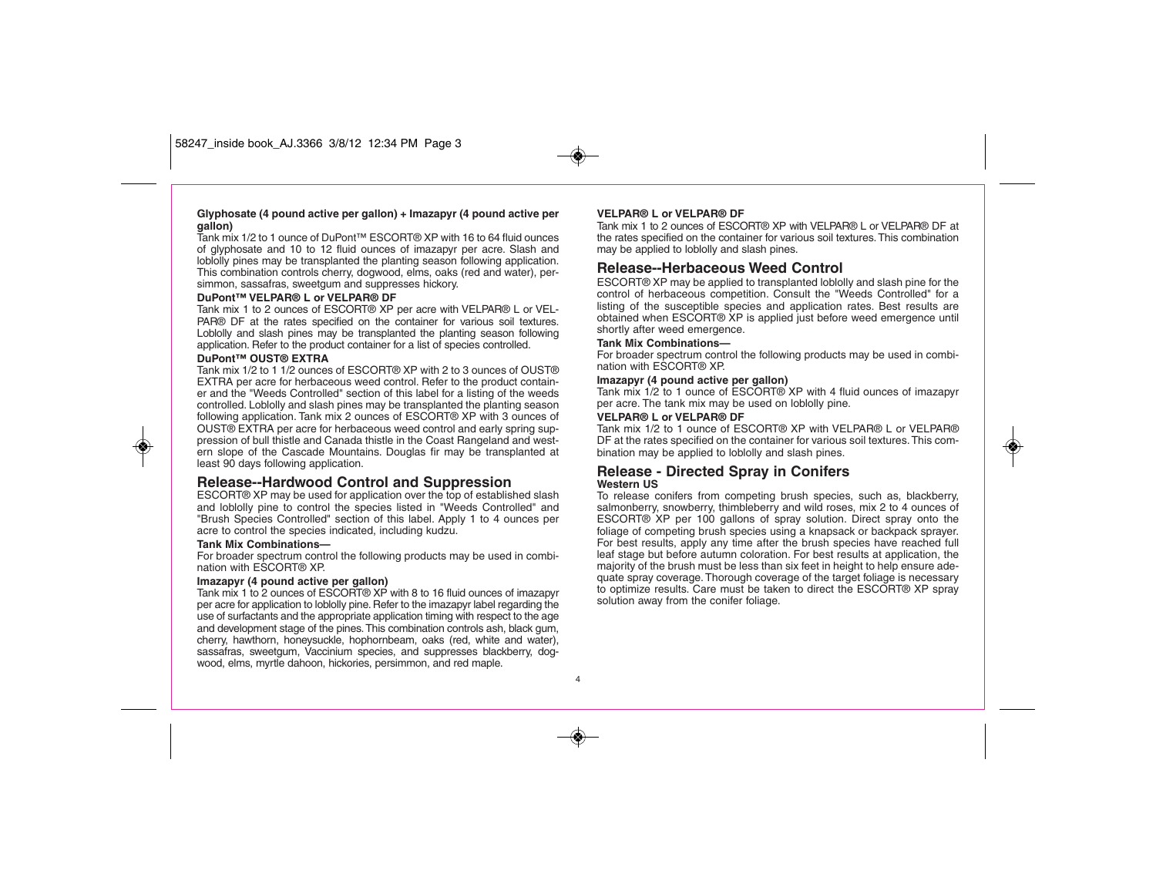#### **Glyphosate (4 pound active per gallon) + Imazapyr (4 pound active per gallon)**

Tank mix 1/2 to 1 ounce of DuPont™ ESCORT® XP with 16 to 64 fluid ounces of glyphosate and 10 to 12 fluid ounces of imazapyr per acre. Slash and loblolly pines may be transplanted the planting season following application. This combination controls cherry, dogwood, elms, oaks (red and water), persimmon, sassafras, sweetgum and suppresses hickory.

#### **DuPont™ VELPAR® L or VELPAR® DF**

Tank mix 1 to 2 ounces of ESCORT® XP per acre with VELPAR® L or VEL-PAR® DF at the rates specified on the container for various soil textures. Loblolly and slash pines may be transplanted the planting season following application. Refer to the product container for a list of species controlled.

#### **DuPont™ OUST® EXTRA**

◈

Tank mix 1/2 to 1 1/2 ounces of ESCORT® XP with 2 to 3 ounces of OUST® EXTRA per acre for herbaceous weed control. Refer to the product container and the "Weeds Controlled" section of this label for a listing of the weeds controlled. Loblolly and slash pines may be transplanted the planting season following application. Tank mix 2 ounces of ESCORT® XP with 3 ounces of OUST® EXTRA per acre for herbaceous weed control and early spring suppression of bull thistle and Canada thistle in the Coast Rangeland and western slope of the Cascade Mountains. Douglas fir may be transplanted at least 90 days following application.

#### **Release--Hardwood Control and Suppression**

ESCORT® XP may be used for application over the top of established slash and loblolly pine to control the species listed in "Weeds Controlled" and "Brush Species Controlled" section of this label. Apply 1 to 4 ounces per acre to control the species indicated, including kudzu.

#### **Tank Mix Combinations—**

For broader spectrum control the following products may be used in combination with ESCORT® XP.

#### **Imazapyr (4 pound active per gallon)**

Tank mix 1 to 2 ounces of ESCORT® XP with 8 to 16 fluid ounces of imazapyr per acre for application to loblolly pine. Refer to the imazapyr label regarding the use of surfactants and the appropriate application timing with respect to the age and development stage of the pines. This combination controls ash, black gum, cherry, hawthorn, honeysuckle, hophornbeam, oaks (red, white and water), sassafras, sweetgum, Vaccinium species, and suppresses blackberry, dogwood, elms, myrtle dahoon, hickories, persimmon, and red maple.

#### **VELPAR® L or VELPAR® DF**

Tank mix 1 to 2 ounces of ESCORT® XP with VELPAR® L or VELPAR® DF at the rates specified on the container for various soil textures. This combination may be applied to loblolly and slash pines.

#### **Release--Herbaceous Weed Control**

ESCORT® XP may be applied to transplanted loblolly and slash pine for the control of herbaceous competition. Consult the "Weeds Controlled" for a listing of the susceptible species and application rates. Best results are obtained when ESCORT® XP is applied just before weed emergence until shortly after weed emergence.

#### **Tank Mix Combinations—**

For broader spectrum control the following products may be used in combination with ESCORT® XP.

#### **Imazapyr (4 pound active per gallon)**

Tank mix 1/2 to 1 ounce of ESCORT® XP with 4 fluid ounces of imazapyr per acre. The tank mix may be used on loblolly pine.

#### **VELPAR® L or VELPAR® DF**

Tank mix 1/2 to 1 ounce of ESCORT® XP with VELPAR® L or VELPAR® DF at the rates specified on the container for various soil textures. This combination may be applied to loblolly and slash pines.

#### **Release - Directed Spray in Conifers Western US**

To release conifers from competing brush species, such as, blackberry, salmonberry, snowberry, thimbleberry and wild roses, mix 2 to 4 ounces of ESCORT® XP per 100 gallons of spray solution. Direct spray onto the foliage of competing brush species using a knapsack or backpack sprayer. For best results, apply any time after the brush species have reached full leaf stage but before autumn coloration. For best results at application, the majority of the brush must be less than six feet in height to help ensure adequate spray coverage. Thorough coverage of the target foliage is necessary to optimize results. Care must be taken to direct the ESCORT® XP spray solution away from the conifer foliage.

4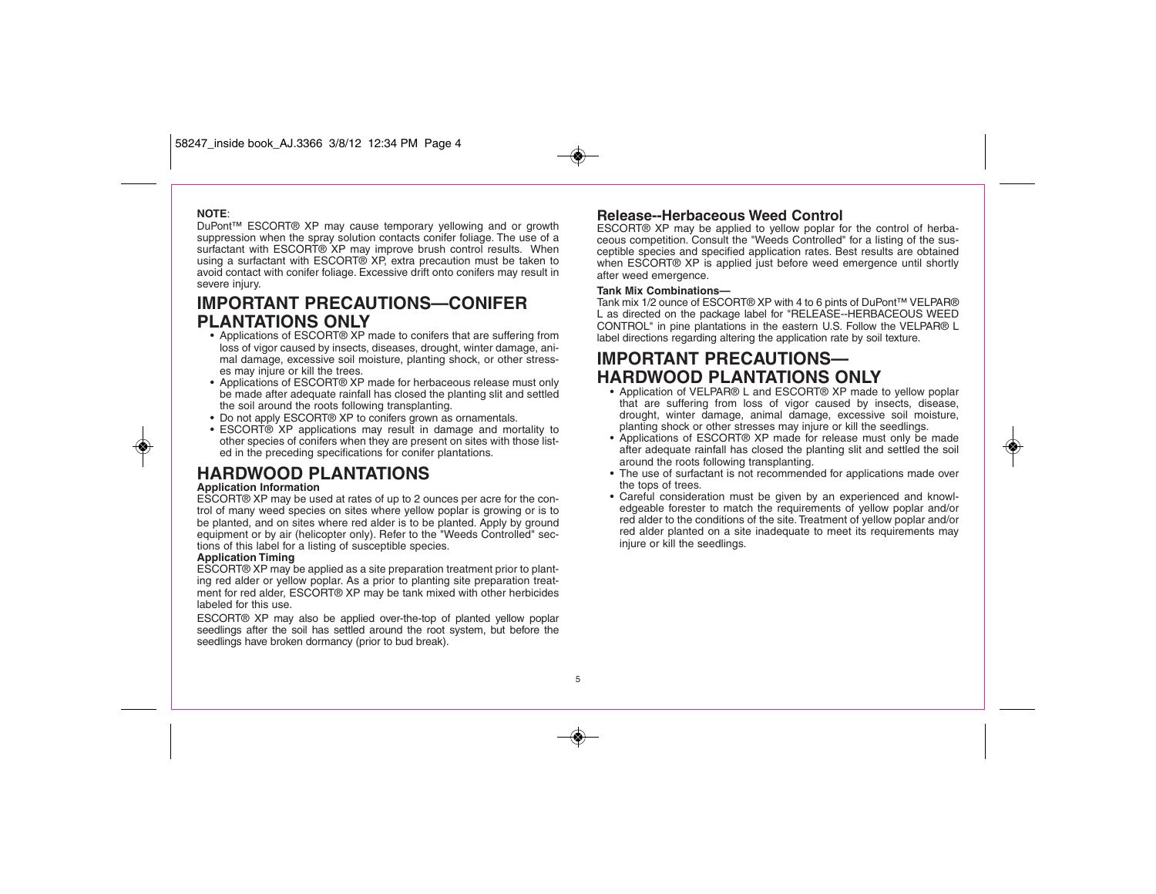#### **NOTE**:

◈

DuPont™ ESCORT® XP may cause temporary yellowing and or growth suppression when the spray solution contacts conifer foliage. The use of a surfactant with ESCORT® XP may improve brush control results. When using a surfactant with ESCORT® XP, extra precaution must be taken to avoid contact with conifer foliage. Excessive drift onto conifers may result in severe injury.

### **IMPORTANT PRECAUTIONS—CONIFER PLANTATIONS ONLY**

- Applications of ESCORT® XP made to conifers that are suffering from loss of vigor caused by insects, diseases, drought, winter damage, animal damage, excessive soil moisture, planting shock, or other stresses may injure or kill the trees.
- Applications of ESCORT® XP made for herbaceous release must only be made after adequate rainfall has closed the planting slit and settled the soil around the roots following transplanting.
- Do not apply ESCORT® XP to conifers grown as ornamentals.
- ESCORT® XP applications may result in damage and mortality to other species of conifers when they are present on sites with those listed in the preceding specifications for conifer plantations.

### **HARDWOOD PLANTATIONS**

#### **Application Information**

ESCORT® XP may be used at rates of up to 2 ounces per acre for the control of many weed species on sites where yellow poplar is growing or is to be planted, and on sites where red alder is to be planted. Apply by ground equipment or by air (helicopter only). Refer to the "Weeds Controlled" sections of this label for a listing of susceptible species.

#### **Application Timing**

ESCORT® XP may be applied as a site preparation treatment prior to planting red alder or yellow poplar. As a prior to planting site preparation treatment for red alder, ESCORT® XP may be tank mixed with other herbicides labeled for this use.

ESCORT® XP may also be applied over-the-top of planted yellow poplar seedlings after the soil has settled around the root system, but before the seedlings have broken dormancy (prior to bud break).

#### **Release--Herbaceous Weed Control**

ESCORT® XP may be applied to yellow poplar for the control of herbaceous competition. Consult the "Weeds Controlled" for a listing of the susceptible species and specified application rates. Best results are obtained when ESCORT® XP is applied just before weed emergence until shortly after weed emergence.

#### **Tank Mix Combinations—**

Tank mix 1/2 ounce of ESCORT® XP with 4 to 6 pints of DuPont™ VELPAR® L as directed on the package label for "RELEASE--HERBACEOUS WEED CONTROL" in pine plantations in the eastern U.S. Follow the VELPAR® L label directions regarding altering the application rate by soil texture.

### **IMPORTANT PRECAUTIONS— HARDWOOD PLANTATIONS ONLY**

- Application of VELPAR® L and ESCORT® XP made to yellow poplar that are suffering from loss of vigor caused by insects, disease, drought, winter damage, animal damage, excessive soil moisture, planting shock or other stresses may injure or kill the seedlings.
- Applications of ESCORT® XP made for release must only be made after adequate rainfall has closed the planting slit and settled the soil around the roots following transplanting.
- The use of surfactant is not recommended for applications made over the tops of trees.
- Careful consideration must be given by an experienced and knowledgeable forester to match the requirements of yellow poplar and/or red alder to the conditions of the site. Treatment of yellow poplar and/or red alder planted on a site inadequate to meet its requirements may injure or kill the seedlings.

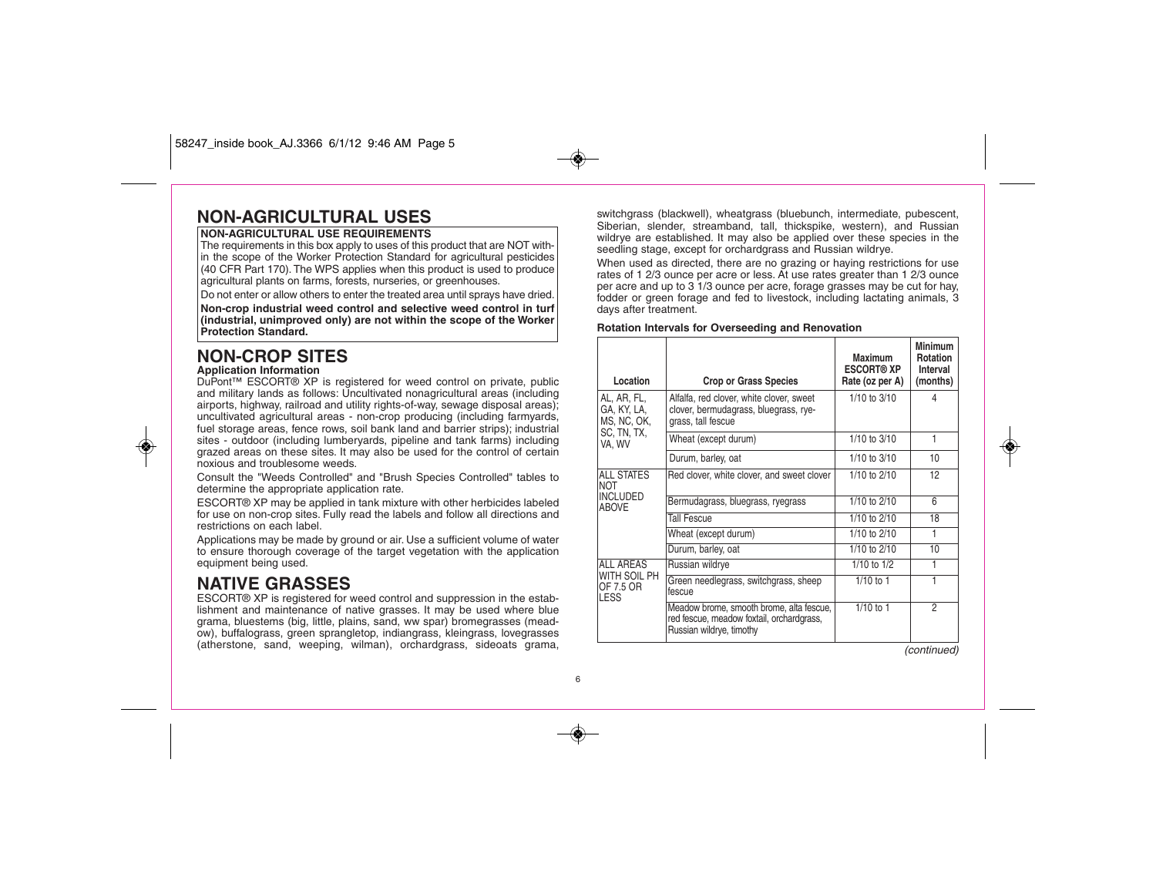### **NON-AGRICULTURAL USES**

#### **NON-AGRICULTURAL USE REQUIREMENTS**

The requirements in this box apply to uses of this product that are NOT within the scope of the Worker Protection Standard for agricultural pesticides (40 CFR Part 170). The WPS applies when this product is used to produce agricultural plants on farms, forests, nurseries, or greenhouses.

Do not enter or allow others to enter the treated area until sprays have dried. **Non-crop industrial weed control and selective weed control in turf (industrial, unimproved only) are not within the scope of the Worker Protection Standard.**

# **NON-CROP SITES**

#### **Application Information**

◈

DuPont™ ESCORT® XP is registered for weed control on private, public and military lands as follows: Uncultivated nonagricultural areas (including airports, highway, railroad and utility rights-of-way, sewage disposal areas); uncultivated agricultural areas - non-crop producing (including farmyards, fuel storage areas, fence rows, soil bank land and barrier strips); industrial sites - outdoor (including lumberyards, pipeline and tank farms) including grazed areas on these sites. It may also be used for the control of certain noxious and troublesome weeds.

Consult the "Weeds Controlled" and "Brush Species Controlled" tables to determine the appropriate application rate.

ESCORT® XP may be applied in tank mixture with other herbicides labeled for use on non-crop sites. Fully read the labels and follow all directions and restrictions on each label.

Applications may be made by ground or air. Use a sufficient volume of water to ensure thorough coverage of the target vegetation with the application equipment being used.

### **NATIVE GRASSES**

ESCORT® XP is registered for weed control and suppression in the establishment and maintenance of native grasses. It may be used where blue grama, bluestems (big, little, plains, sand, ww spar) bromegrasses (meadow), buffalograss, green sprangletop, indiangrass, kleingrass, lovegrasses (atherstone, sand, weeping, wilman), orchardgrass, sideoats grama,

switchgrass (blackwell), wheatgrass (bluebunch, intermediate, pubescent, Siberian, slender, streamband, tall, thickspike, western), and Russian wildrye are established. It may also be applied over these species in the seedling stage, except for orchardgrass and Russian wildrye.

When used as directed, there are no grazing or haying restrictions for use rates of 1 2/3 ounce per acre or less. At use rates greater than 1 2/3 ounce per acre and up to 3 1/3 ounce per acre, forage grasses may be cut for hay, fodder or green forage and fed to livestock, including lactating animals, 3 days after treatment.

#### **Rotation Intervals for Overseeding and Renovation**

| Location                                                           | <b>Crop or Grass Species</b>                                                                                      | <b>Maximum</b><br><b>ESCORT® XP</b><br>Rate (oz per A) | <b>Minimum</b><br><b>Rotation</b><br>Interval<br>(months) |
|--------------------------------------------------------------------|-------------------------------------------------------------------------------------------------------------------|--------------------------------------------------------|-----------------------------------------------------------|
| AL, AR, FL,<br>GA, KY, LA,<br>MS, NC, OK,                          | Alfalfa, red clover, white clover, sweet<br>clover, bermudagrass, bluegrass, rye-<br>grass, tall fescue           | $1/10$ to $3/10$                                       | 4                                                         |
| SC, TN, TX,<br>VA, WV                                              | Wheat (except durum)                                                                                              | 1/10 to 3/10                                           | 1                                                         |
|                                                                    | Durum, barley, oat                                                                                                | 1/10 to 3/10                                           | 10                                                        |
| <b>ALL STATES</b><br><b>NOT</b><br><b>INCLUDED</b><br><b>ABOVE</b> | Red clover, white clover, and sweet clover                                                                        | 1/10 to 2/10                                           | 12                                                        |
|                                                                    | Bermudagrass, bluegrass, ryegrass                                                                                 | 1/10 to 2/10                                           | 6                                                         |
|                                                                    | <b>Tall Fescue</b>                                                                                                | 1/10 to 2/10                                           | 18                                                        |
|                                                                    | Wheat (except durum)                                                                                              | 1/10 to 2/10                                           | 1                                                         |
|                                                                    | Durum, barley, oat                                                                                                | 1/10 to 2/10                                           | 10                                                        |
| ALL AREAS<br>WITH SOIL PH<br>OF 7.5 OR<br>LESS                     | Russian wildrye                                                                                                   | $1/10$ to $1/2$                                        | 1                                                         |
|                                                                    | Green needlegrass, switchgrass, sheep<br>fescue                                                                   | $1/10$ to $1$                                          | 1                                                         |
|                                                                    | Meadow brome, smooth brome, alta fescue,<br>red fescue, meadow foxtail, orchardgrass,<br>Russian wildrye, timothy | $1/10$ to $1$                                          | 2                                                         |

(continued)

◈

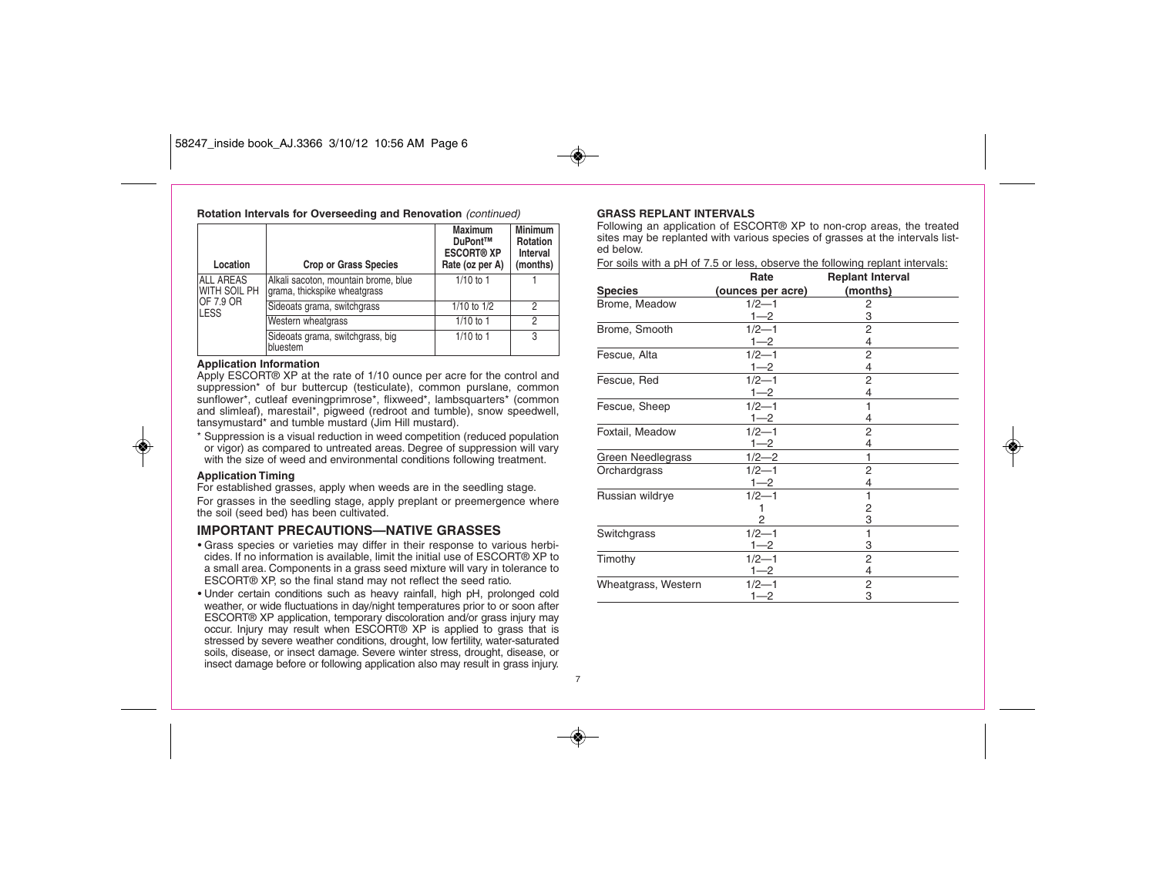#### 58247\_inside book\_AJ.3366 3/10/12 10:56 AM Page 6

| Location                  | Rotation Intervals for Overseeding and Renovation (continued)<br><b>Crop or Grass Species</b> | <b>Maximum</b><br>DuPont™<br><b>ESCORT® XP</b><br>Rate (oz per A) | <b>Minimum</b><br><b>Rotation</b><br>Interval<br>(months) |
|---------------------------|-----------------------------------------------------------------------------------------------|-------------------------------------------------------------------|-----------------------------------------------------------|
| ALL AREAS<br>WITH SOIL PH | Alkali sacoton, mountain brome, blue<br>grama, thickspike wheatgrass                          | $1/10$ to 1                                                       |                                                           |
| OF 7.9 OR<br><b>LESS</b>  | Sideoats grama, switchgrass                                                                   | $1/10$ to $1/2$                                                   | 2                                                         |
|                           | Western wheatgrass                                                                            | $1/10$ to 1                                                       | $\mathfrak{D}$                                            |
|                           | Sideoats grama, switchgrass, big<br>bluestem                                                  | $1/10$ to 1                                                       | 3                                                         |

#### **Application Information**

Apply ESCORT® XP at the rate of 1/10 ounce per acre for the control and suppression<sup>\*</sup> of bur buttercup (testiculate), common purslane, common sunflower\*, cutleaf eveningprimrose\*, flixweed\*, lambsquarters\* (common and slimleaf), marestail\*, pigweed (redroot and tumble), snow speedwell, tansymustard\* and tumble mustard (Jim Hill mustard).

\* Suppression is a visual reduction in weed competition (reduced population or vigor) as compared to untreated areas. Degree of suppression will vary with the size of weed and environmental conditions following treatment.

#### **Application Timing**

◈

For established grasses, apply when weeds are in the seedling stage. For grasses in the seedling stage, apply preplant or preemergence where the soil (seed bed) has been cultivated.

#### **IMPORTANT PRECAUTIONS—NATIVE GRASSES**

- Grass species or varieties may differ in their response to various herbicides. If no information is available, limit the initial use of ESCORT® XP to a small area. Components in a grass seed mixture will vary in tolerance to ESCORT® XP, so the final stand may not reflect the seed ratio.
- Under certain conditions such as heavy rainfall, high pH, prolonged cold weather, or wide fluctuations in day/night temperatures prior to or soon after ESCORT® XP application, temporary discoloration and/or grass injury may occur. Injury may result when ESCORT® XP is applied to grass that is stressed by severe weather conditions, drought, low fertility, water-saturated soils, disease, or insect damage. Severe winter stress, drought, disease, or insect damage before or following application also may result in grass injury.

#### **GRASS REPLANT INTERVALS**

7

Following an application of ESCORT® XP to non-crop areas, the treated sites may be replanted with various species of grasses at the intervals listed below.

For soils with a pH of 7.5 or less, observe the following replant intervals:

|                     | Rate              | <b>Replant Interval</b> |  |
|---------------------|-------------------|-------------------------|--|
| <b>Species</b>      | (ounces per acre) | (months)                |  |
| Brome, Meadow       | $1/2 - 1$         | 2                       |  |
|                     | $1 - 2$           | 3                       |  |
| Brome, Smooth       | $1/2 - 1$         | $\overline{2}$          |  |
|                     | $1 - 2$           | 4                       |  |
| Fescue, Alta        | $1/2 - 1$         | 2                       |  |
|                     | $1 - 2$           | 4                       |  |
| Fescue, Red         | $1/2 - 1$         | 2                       |  |
|                     | $1 - 2$           | 4                       |  |
| Fescue, Sheep       | $1/2 - 1$         | 1                       |  |
|                     | $1 - 2$           | 4                       |  |
| Foxtail, Meadow     | $1/2 - 1$         | 2                       |  |
|                     | $1 - 2$           | 4                       |  |
| Green Needlegrass   | $1/2 - 2$         | 1                       |  |
| Orchardgrass        | $1/2 - 1$         | 2                       |  |
|                     | $1 - 2$           | 4                       |  |
| Russian wildrye     | $1/2 - 1$         | 1                       |  |
|                     | 1                 | 2                       |  |
|                     | 2                 | 3                       |  |
| Switchgrass         | $1/2 - 1$         | 1                       |  |
|                     | $1 - 2$           | 3                       |  |
| Timothy             | $1/2 - 1$         | $\overline{2}$          |  |
|                     | $1 - 2$           | 4                       |  |
| Wheatgrass, Western | $1/2 - 1$         | 2                       |  |
|                     | 1—2               | 3                       |  |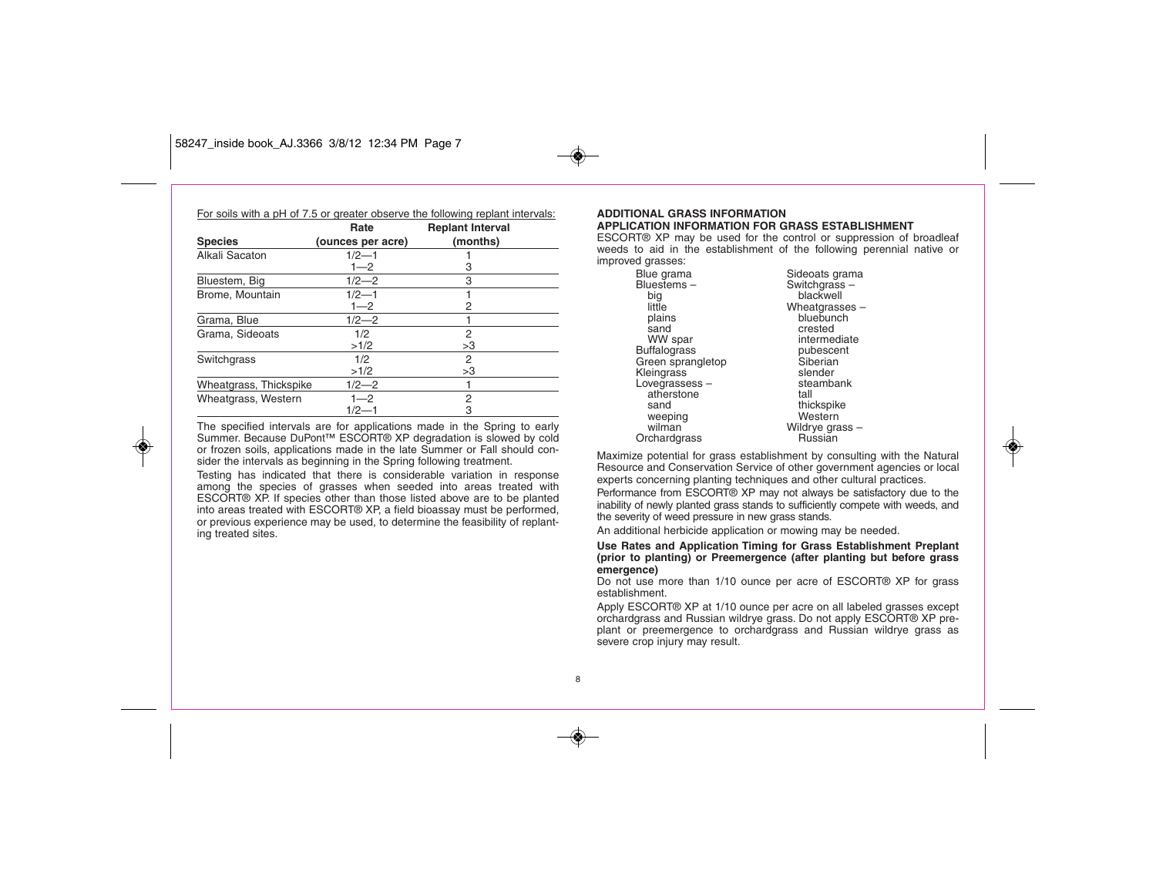◈

| For soils with a pH of 7.5 or greater observe the following replant intervals: |                   |                         |  |
|--------------------------------------------------------------------------------|-------------------|-------------------------|--|
|                                                                                | Rate              | <b>Replant Interval</b> |  |
| <b>Species</b>                                                                 | (ounces per acre) | (months)                |  |
| Alkali Sacaton                                                                 | $1/2 - 1$         |                         |  |
|                                                                                | $1 - 2$           | З                       |  |
| Bluestem, Big                                                                  | $1/2 - 2$         | 3                       |  |
| Brome, Mountain                                                                | $1/2 - 1$         |                         |  |
|                                                                                | $1 - 2$           | 2                       |  |
| Grama, Blue                                                                    | $1/2 - 2$         |                         |  |
| Grama, Sideoats                                                                | 1/2               | 2                       |  |
|                                                                                | >1/2              | >3                      |  |
| Switchgrass                                                                    | 1/2               | 2                       |  |
|                                                                                | >1/2              | >3                      |  |
| Wheatgrass, Thickspike                                                         | $1/2 - 2$         |                         |  |
| Wheatgrass, Western                                                            | $1 - 2$           | 2                       |  |
|                                                                                | $1/2 - 1$         | 3                       |  |

The specified intervals are for applications made in the Spring to early Summer. Because DuPont™ ESCORT® XP degradation is slowed by cold or frozen soils, applications made in the late Summer or Fall should consider the intervals as beginning in the Spring following treatment.

Testing has indicated that there is considerable variation in response among the species of grasses when seeded into areas treated with ESCORT® XP. If species other than those listed above are to be planted into areas treated with ESCORT® XP, a field bioassay must be performed, or previous experience may be used, to determine the feasibility of replanting treated sites.

#### **ADDITIONAL GRASS INFORMATION APPLICATION INFORMATION FOR GRASS ESTABLISHMENT**

ESCORT® XP may be used for the control or suppression of broadleaf weeds to aid in the establishment of the following perennial native or improved grasses:

> Blue grama Bluestems – big little plains sand WW spar **Buffalograss** Green sprangletop **Kleingrass** Lovegrassess – atherstone sand weeping wilman **Orchardgrass**

Switchgrass – blackwell Wheatgrasses  $$ bluebunch crested intermediate pubescent **Siberian** slender steambank tall thickspike Western Wildrye grass – Russian

◈

Sideoats grama

Maximize potential for grass establishment by consulting with the Natural Resource and Conservation Service of other government agencies or local experts concerning planting techniques and other cultural practices.

Performance from ESCORT® XP may not always be satisfactory due to the inability of newly planted grass stands to sufficiently compete with weeds, and the severity of weed pressure in new grass stands.

An additional herbicide application or mowing may be needed.

#### **Use Rates and Application Timing for Grass Establishment Preplant (prior to planting) or Preemergence (after planting but before grass emergence)**

Do not use more than 1/10 ounce per acre of ESCORT® XP for grass establishment.

Apply ESCORT® XP at 1/10 ounce per acre on all labeled grasses except orchardgrass and Russian wildrye grass. Do not apply ESCORT® XP preplant or preemergence to orchardgrass and Russian wildrye grass as severe crop injury may result.

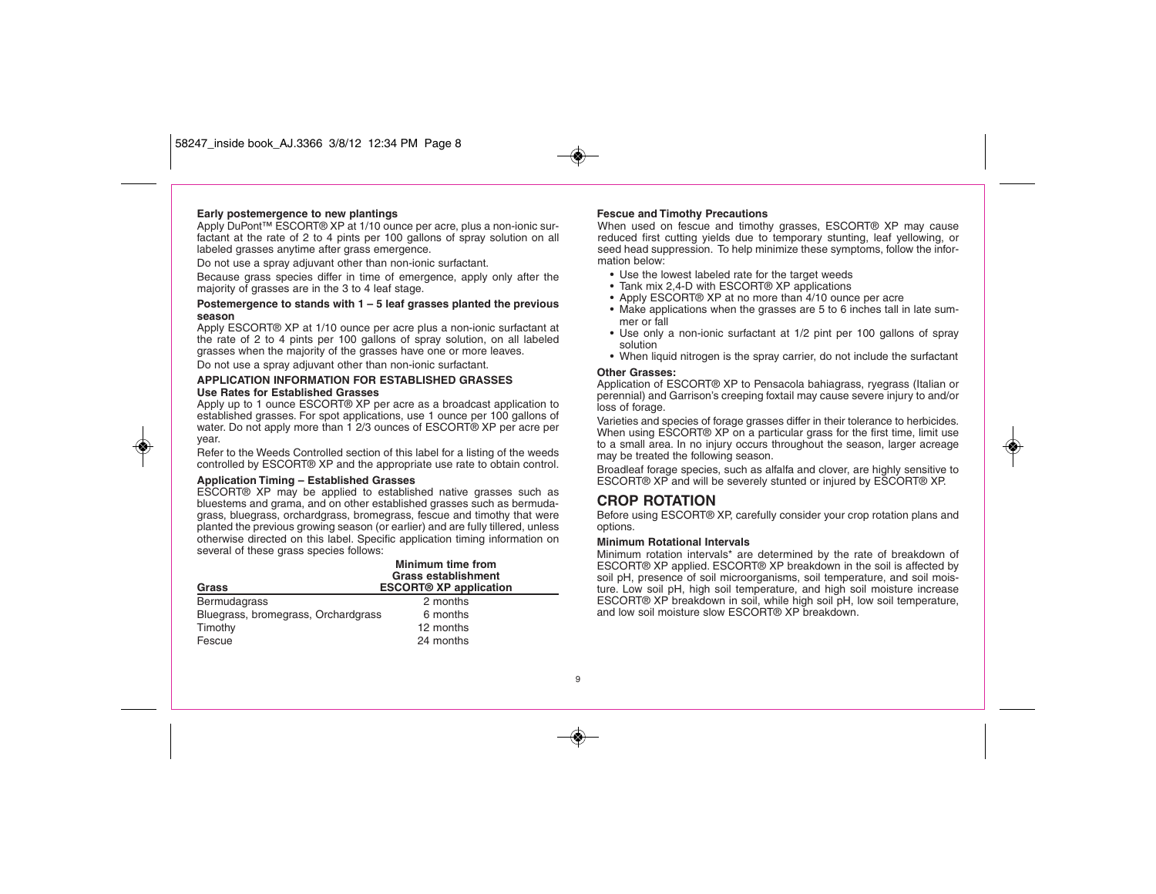#### **Early postemergence to new plantings**

Apply DuPont™ ESCORT® XP at 1/10 ounce per acre, plus a non-ionic surfactant at the rate of 2 to 4 pints per 100 gallons of spray solution on all labeled grasses anytime after grass emergence.

Do not use a spray adjuvant other than non-ionic surfactant.

Because grass species differ in time of emergence, apply only after the majority of grasses are in the 3 to 4 leaf stage.

#### **Postemergence to stands with 1 – 5 leaf grasses planted the previous season**

Apply ESCORT® XP at 1/10 ounce per acre plus a non-ionic surfactant at the rate of 2 to 4 pints per 100 gallons of spray solution, on all labeled grasses when the majority of the grasses have one or more leaves.

Do not use a spray adjuvant other than non-ionic surfactant.

#### **APPLICATION INFORMATION FOR ESTABLISHED GRASSES Use Rates for Established Grasses**

Apply up to 1 ounce ESCORT® XP per acre as a broadcast application to established grasses. For spot applications, use 1 ounce per 100 gallons of water. Do not apply more than 1 2/3 ounces of ESCORT® XP per acre per year.

Refer to the Weeds Controlled section of this label for a listing of the weeds controlled by ESCORT® XP and the appropriate use rate to obtain control.

#### **Application Timing – Established Grasses**

◈

ESCORT® XP may be applied to established native grasses such as bluestems and grama, and on other established grasses such as bermudagrass, bluegrass, orchardgrass, bromegrass, fescue and timothy that were planted the previous growing season (or earlier) and are fully tillered, unless otherwise directed on this label. Specific application timing information on several of these grass species follows:

| Grass                               | Minimum time from<br><b>Grass establishment</b><br><b>ESCORT® XP application</b> |  |  |
|-------------------------------------|----------------------------------------------------------------------------------|--|--|
| Bermudagrass                        | 2 months                                                                         |  |  |
| Bluegrass, bromegrass, Orchardgrass | 6 months                                                                         |  |  |
| Timothy                             | 12 months                                                                        |  |  |
| Fescue                              | 24 months                                                                        |  |  |

#### **Fescue and Timothy Precautions**

When used on fescue and timothy grasses. ESCORT<sup>®</sup> XP may cause reduced first cutting yields due to temporary stunting, leaf yellowing, or seed head suppression. To help minimize these symptoms, follow the information below:

- Use the lowest labeled rate for the target weeds
- Tank mix 2,4-D with ESCORT® XP applications
- Apply ESCORT® XP at no more than 4/10 ounce per acre
- Make applications when the grasses are 5 to 6 inches tall in late summer or fall
- Use only a non-ionic surfactant at 1/2 pint per 100 gallons of spray solution<sup>1</sup>
- When liquid nitrogen is the spray carrier, do not include the surfactant

#### **Other Grasses:**

Application of ESCORT® XP to Pensacola bahiagrass, ryegrass (Italian or perennial) and Garrison's creeping foxtail may cause severe injury to and/or loss of forage.

Varieties and species of forage grasses differ in their tolerance to herbicides. When using ESCORT® XP on a particular grass for the first time, limit use to a small area. In no injury occurs throughout the season, larger acreage may be treated the following season.

Broadleaf forage species, such as alfalfa and clover, are highly sensitive to ESCORT® XP and will be severely stunted or injured by ESCORT® XP.

#### **CROP ROTATION**

Before using ESCORT® XP, carefully consider your crop rotation plans and options.

#### **Minimum Rotational Intervals**

Minimum rotation intervals\* are determined by the rate of breakdown of ESCORT® XP applied. ESCORT® XP breakdown in the soil is affected by soil pH, presence of soil microorganisms, soil temperature, and soil moisture. Low soil pH, high soil temperature, and high soil moisture increase ESCORT® XP breakdown in soil, while high soil pH, low soil temperature, and low soil moisture slow ESCORT® XP breakdown.

9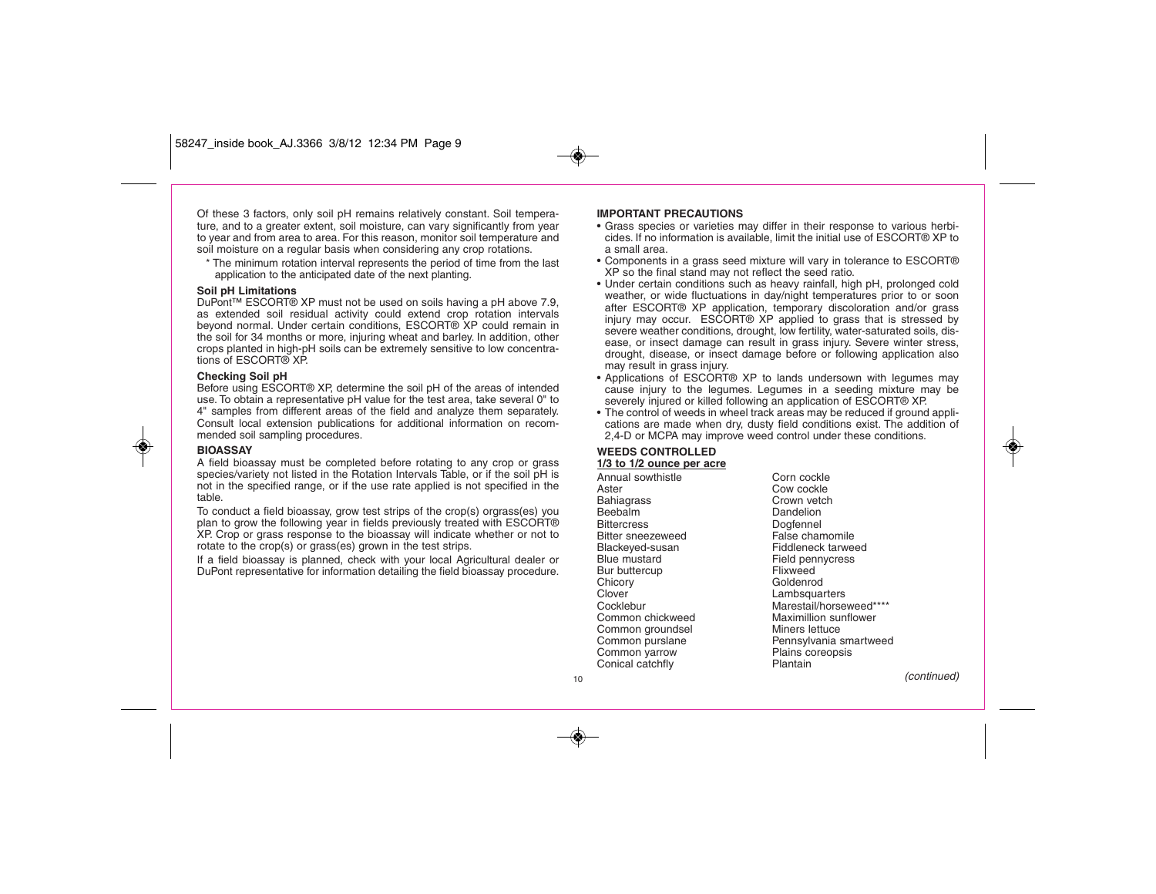Of these 3 factors, only soil pH remains relatively constant. Soil temperature, and to a greater extent, soil moisture, can vary significantly from year to year and from area to area. For this reason, monitor soil temperature and soil moisture on a regular basis when considering any crop rotations.

\* The minimum rotation interval represents the period of time from the last application to the anticipated date of the next planting.

#### **Soil pH Limitations**

DuPont™ ESCORT® XP must not be used on soils having a pH above 7.9, as extended soil residual activity could extend crop rotation intervals beyond normal. Under certain conditions, ESCORT® XP could remain in the soil for 34 months or more, injuring wheat and barley. In addition, other crops planted in high-pH soils can be extremely sensitive to low concentrations of ESCORT® XP.

#### **Checking Soil pH**

Before using ESCORT® XP, determine the soil pH of the areas of intended use. To obtain a representative pH value for the test area, take several 0" to 4" samples from different areas of the field and analyze them separately. Consult local extension publications for additional information on recommended soil sampling procedures.

#### **BIOASSAY**

◈

A field bioassay must be completed before rotating to any crop or grass species/variety not listed in the Rotation Intervals Table, or if the soil pH is not in the specified range, or if the use rate applied is not specified in the table.

To conduct a field bioassay, grow test strips of the crop(s) orgrass(es) you plan to grow the following year in fields previously treated with ESCORT® XP. Crop or grass response to the bioassay will indicate whether or not to rotate to the crop(s) or grass(es) grown in the test strips.

If a field bioassay is planned, check with your local Agricultural dealer or DuPont representative for information detailing the field bioassay procedure.

#### **IMPORTANT PRECAUTIONS**

- Grass species or varieties may differ in their response to various herbicides. If no information is available, limit the initial use of ESCORT® XP to a small area.
- Components in a grass seed mixture will vary in tolerance to ESCORT® XP so the final stand may not reflect the seed ratio.
- Under certain conditions such as heavy rainfall, high pH, prolonged cold weather, or wide fluctuations in day/night temperatures prior to or soon after ESCORT® XP application, temporary discoloration and/or grass injury may occur. ESCORT® XP applied to grass that is stressed by severe weather conditions, drought, low fertility, water-saturated soils, disease, or insect damage can result in grass injury. Severe winter stress, drought, disease, or insect damage before or following application also may result in grass injury.
- Applications of ESCORT® XP to lands undersown with legumes may cause injury to the legumes. Legumes in a seeding mixture may be severely injured or killed following an application of ESCORT® XP.
- The control of weeds in wheel track areas may be reduced if ground applications are made when dry, dusty field conditions exist. The addition of 2,4-D or MCPA may improve weed control under these conditions.

### **WEEDS CONTROLLED**

**1/3 to 1/2 ounce per acre**

Annual sowthistle **Corn** cockle Aster Cow cockle Bahiagrass Crown vetch<br>Beebalm Crown Dandelion Bittercress<br>Bitter sneezeweed and a False chamomile Bitter sneezeweed Blackeyed-susan Fiddleneck tarweed Blue mustard Field pennycress<br>Bur buttercup<br>Flixweed Bur buttercup Chicory Goldenrod<br>Clover Lambsquar Clover Lambsquarters Common chickweed Maximillion sunflower Common groundsel Miners lettuce<br>
Common purslane Pennsylvania s Common yarrow Plains contract Plains contract Plants Plants Contract Plants Contract Plants Plants Contract Plants Plants Contract Plants Contract Plants Contract Plants Contract Plants Contract Plants Contract Plants Cont Conical catchfly

Dandelion Marestail/horseweed\*\*\*\*\* Pennsylvania smartweed<br>Plains coreopsis

(continued)

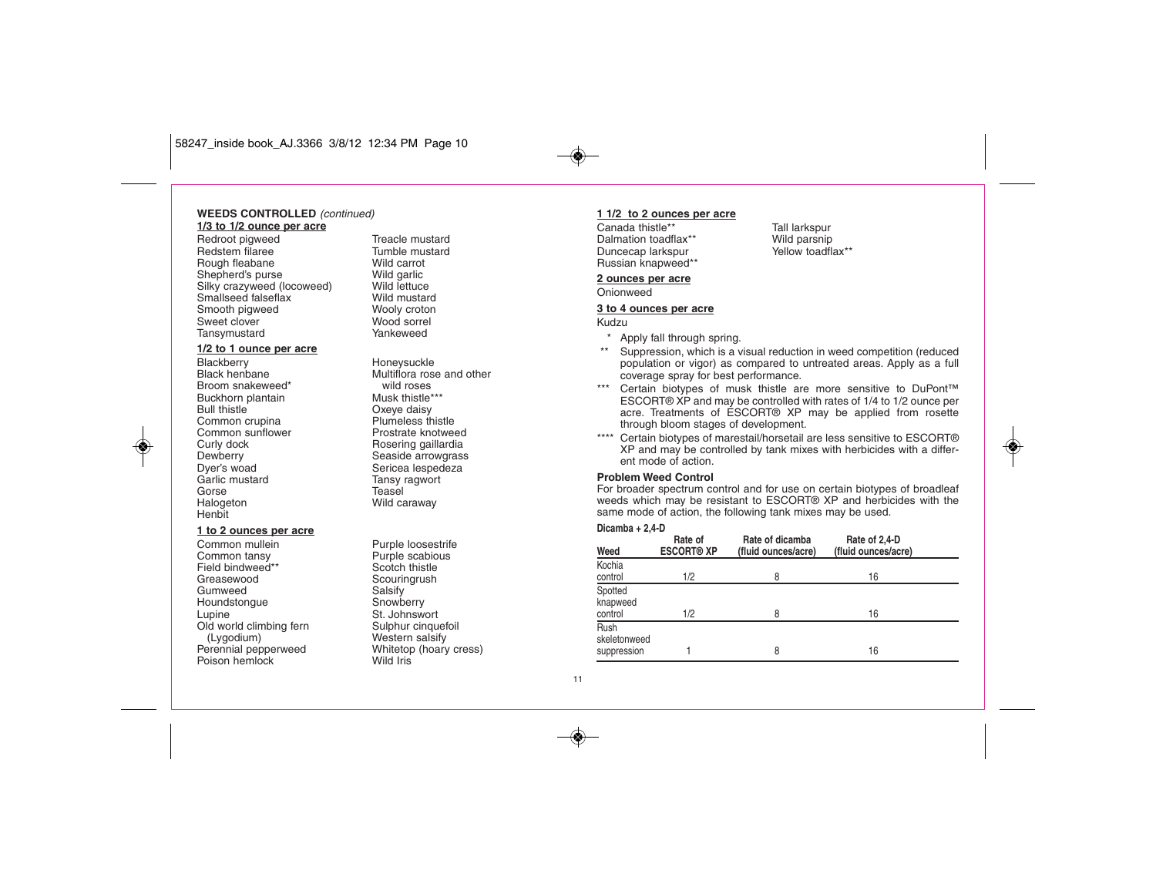#### **WEEDS CONTROLLED** (continued) **1/3 to 1/2 ounce per acre**

Redroot pigweed Treacle mustard<br>Redstem filaree Tumble mustard Redstem filaree Rough fleabane Wild carrot<br>
Shepherd's purse Wild garlic Shepherd's purse **Wild garlic**<br>
Silky crazyweed (locoweed) Wild lettuce Silky crazyweed (locoweed) Wild lettuce<br>
Smallseed falseflax Wild mustard Smallseed falseflax Smooth pigweed Wooly croton<br>
Sweet clover<br>
Wood sorrel Sweet clover Tansymustard Yankeweed

### **1/2 to 1 ounce per acre**

Blackberry **Honeysuckle**<br>Black henbane **Holland Multiflora** ros Broom snakeweed\* wild roses Buckhorn plantain<br>Bull thistle Common sunflower Curly dock and Rosering gaillardia<br>
Dewberry Chesside arrowgrass Dyer's woad<br>
Garlic mustard<br>
Garlic mustard<br>
Garlic mustard<br>
Sansy ragwort Garlic mustard Tansy ragwort<br>Gorse Teasel Halogeton Wild caraway Henbit

◈

#### **1 to 2 ounces per acre**

Field bindweed\*\* Greasewood Scouringrush<br>Gumweed Salsify Gumweed Salsify<br>Houndstongue Snowberry Houndstongue<br>Lupine Old world climbing fern<br>(Lygodium) (Lygodium) Western salsify<br>
Perennial pepperweed Whitetop (hoary Poison hemlock

Multiflora rose and other Oxeye daisy<br>Plumeless thistle Common crupina **Plumeless thistle**<br>
Common sunflower<br>
Prostrate knotweed Dewberry **Seaside arrowgrass**<br>
Dver's woad **Sericea** lespedeza Teasel

Common mullein **Purple loosestrife**<br>
Common tansy **Purple scabious** Purple scabious<br>Scotch thistle St. Johnswort<br>Sulphur cinquefoil Whitetop (hoary cress)<br>Wild Iris

#### **1 1/2 to 2 ounces per acre**

Canada thistle\*\* Tall larkspur<br>Dalmation toadflax\*\* Wild parsnip Dalmation toadflax\*\* Wild parsnip<br>
Duncecap larkspur<br>
Yellow toadflax\*\* Duncecap larkspur Russian knapweed\*\*

#### **2 ounces per acre**

#### Onionweed

#### **3 to 4 ounces per acre**

Kudzu

- \* Apply fall through spring.
- \*\* Suppression, which is a visual reduction in weed competition (reduced population or vigor) as compared to untreated areas. Apply as a full coverage spray for best performance.
- \*\*\* Certain biotypes of musk thistle are more sensitive to DuPont™ ESCORT® XP and may be controlled with rates of 1/4 to 1/2 ounce per acre. Treatments of ESCORT® XP may be applied from rosette through bloom stages of development.
- \*\*\*\* Certain biotypes of marestail/horsetail are less sensitive to ESCORT® XP and may be controlled by tank mixes with herbicides with a different mode of action.

◈

#### **Problem Weed Control**

For broader spectrum control and for use on certain biotypes of broadleaf weeds which may be resistant to ESCORT® XP and herbicides with the same mode of action, the following tank mixes may be used.

#### **Dicamba + 2,4-D**

| Weed                                | Rate of<br><b>ESCORT® XP</b> | Rate of dicamba<br>(fluid ounces/acre) | Rate of 2,4-D<br>(fluid ounces/acre) |  |
|-------------------------------------|------------------------------|----------------------------------------|--------------------------------------|--|
| Kochia<br>control                   | 1/2                          | 8                                      | 16                                   |  |
| Spotted<br>knapweed<br>control      | 1/2                          | 8                                      | 16                                   |  |
| Rush<br>skeletonweed<br>suppression |                              | 8                                      | 16                                   |  |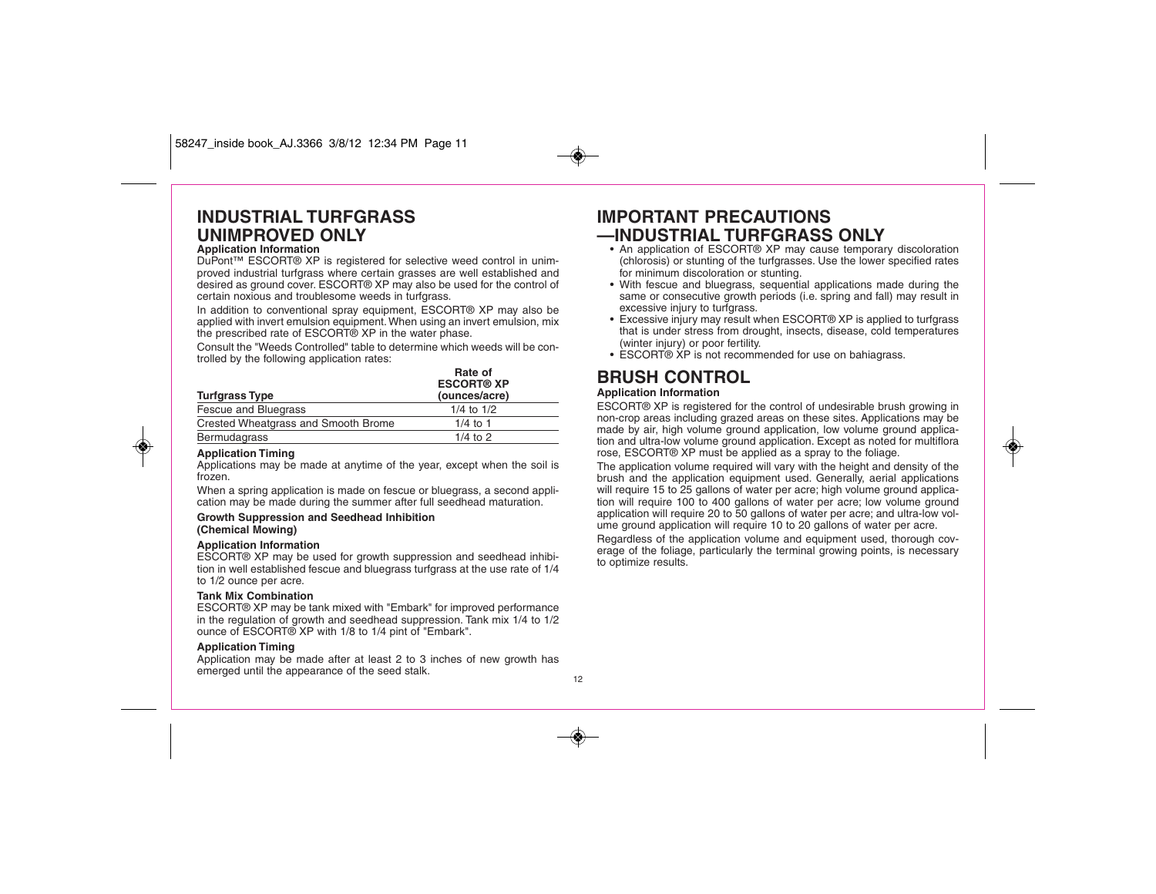## **INDUSTRIAL TURFGRASS UNIMPROVED ONLY**

### **Application Information**

DuPont™ ESCORT® XP is registered for selective weed control in unimproved industrial turfgrass where certain grasses are well established and desired as ground cover. ESCORT® XP may also be used for the control of certain noxious and troublesome weeds in turfgrass.

In addition to conventional spray equipment, ESCORT® XP may also be applied with invert emulsion equipment. When using an invert emulsion, mix the prescribed rate of ESCORT® XP in the water phase.

Consult the "Weeds Controlled" table to determine which weeds will be controlled by the following application rates:

|                                     | Rate of<br><b>ESCORT® XP</b> |
|-------------------------------------|------------------------------|
| <b>Turfgrass Type</b>               | (ounces/acre)                |
| Fescue and Bluegrass                | $1/4$ to $1/2$               |
| Crested Wheatgrass and Smooth Brome | $1/4$ to 1                   |
| Bermudagrass                        | $1/4$ to 2                   |

#### **Application Timing**

◈

Applications may be made at anytime of the year, except when the soil is frozen.

When a spring application is made on fescue or bluegrass, a second application may be made during the summer after full seedhead maturation.

#### **Growth Suppression and Seedhead Inhibition (Chemical Mowing)**

**Application Information** ESCORT® XP may be used for growth suppression and seedhead inhibition in well established fescue and bluegrass turfgrass at the use rate of 1/4 to 1/2 ounce per acre.

#### **Tank Mix Combination**

ESCORT® XP may be tank mixed with "Embark" for improved performance in the regulation of growth and seedhead suppression. Tank mix 1/4 to 1/2 ounce of ESCORT® XP with 1/8 to 1/4 pint of "Embark".

#### **Application Timing**

Application may be made after at least 2 to 3 inches of new growth has emerged until the appearance of the seed stalk.

### **IMPORTANT PRECAUTIONS —INDUSTRIAL TURFGRASS ONLY**

- An application of ESCORT® XP may cause temporary discoloration (chlorosis) or stunting of the turfgrasses. Use the lower specified rates for minimum discoloration or stunting.
- With fescue and bluegrass, sequential applications made during the same or consecutive growth periods (i.e. spring and fall) may result in excessive injury to turfgrass.
- Excessive injury may result when ESCORT® XP is applied to turfgrass that is under stress from drought, insects, disease, cold temperatures (winter injury) or poor fertility.
- ESCORT® XP is not recommended for use on bahiagrass.

### **BRUSH CONTROL**

#### **Application Information**

ESCORT® XP is registered for the control of undesirable brush growing in non-crop areas including grazed areas on these sites. Applications may be made by air, high volume ground application, low volume ground application and ultra-low volume ground application. Except as noted for multiflora rose, ESCORT® XP must be applied as a spray to the foliage.

◈

The application volume required will vary with the height and density of the brush and the application equipment used. Generally, aerial applications will require 15 to 25 gallons of water per acre; high volume ground application will require 100 to 400 gallons of water per acre; low volume ground application will require 20 to 50 gallons of water per acre; and ultra-low volume ground application will require 10 to 20 gallons of water per acre.

Regardless of the application volume and equipment used, thorough coverage of the foliage, particularly the terminal growing points, is necessary to optimize results.

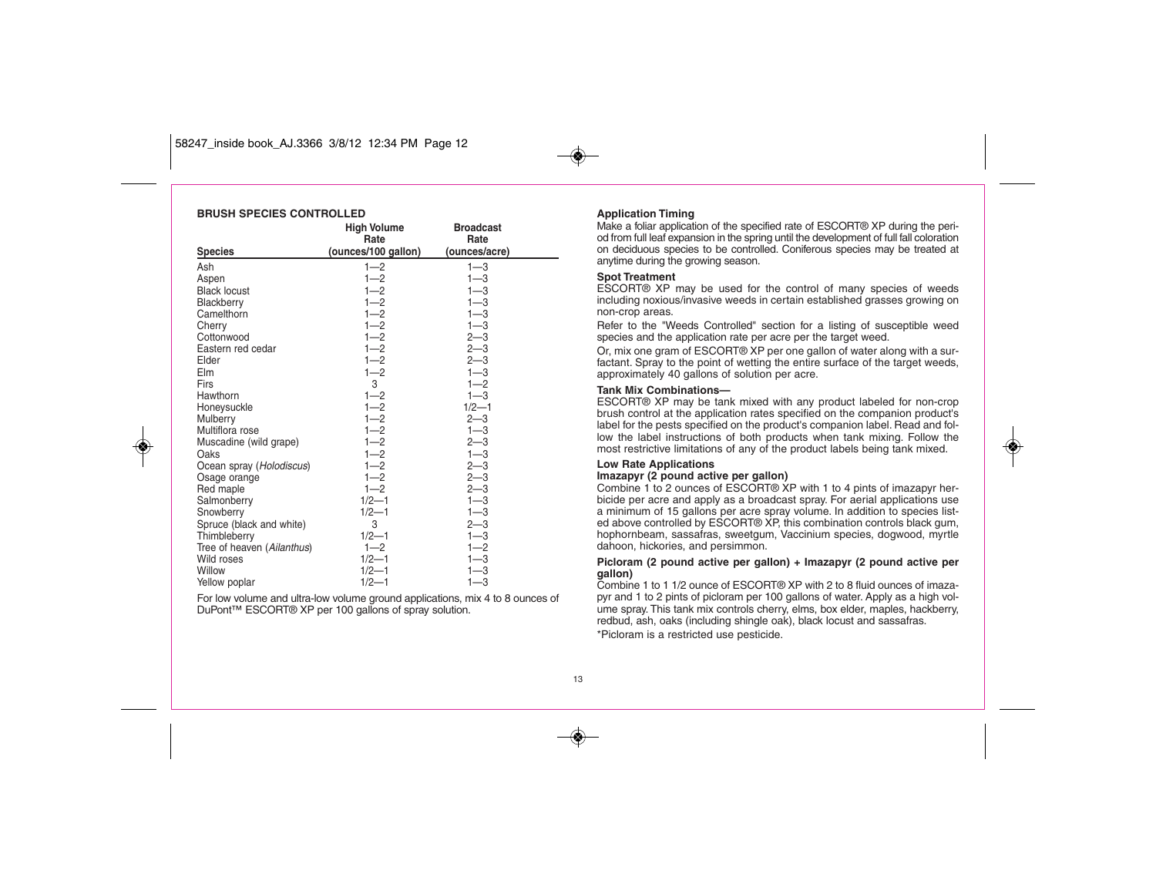#### **BRUSH SPECIES CONTROLLED**

◈

|                            | <b>High Volume</b><br>Rate | <b>Broadcast</b><br>Rate |  |
|----------------------------|----------------------------|--------------------------|--|
| <b>Species</b>             | (ounces/100 gallon)        | (ounces/acre)            |  |
| Ash                        | $1 - 2$                    | $1 - 3$                  |  |
| Aspen                      | $1 - 2$                    | $1 - 3$                  |  |
| <b>Black locust</b>        | $1 - 2$                    | $1 - 3$                  |  |
| Blackberry                 | $1 - 2$                    | $1 - 3$                  |  |
| Camelthorn                 | $1 - 2$                    | $1 - 3$                  |  |
| Cherry                     | $1 - 2$                    | $1 - 3$                  |  |
| Cottonwood                 | $1 - 2$                    | $2 - 3$                  |  |
| Eastern red cedar          | $1 - 2$                    | $2 - 3$                  |  |
| Elder                      | $1 - 2$                    | $2 - 3$                  |  |
| Elm                        | $1 - 2$                    | $1 - 3$                  |  |
| Firs                       | 3                          | $1 - 2$                  |  |
| Hawthorn                   | $1 - 2$                    | $1 - 3$                  |  |
| Honeysuckle                | $1 - 2$                    | $1/2 - 1$                |  |
| Mulberry                   | $1 - 2$                    | $2 - 3$                  |  |
| Multiflora rose            | $1 - 2$                    | $1 - 3$                  |  |
| Muscadine (wild grape)     | $1 - 2$                    | $2 - 3$                  |  |
| Oaks                       | $1 - 2$                    | $1 - 3$                  |  |
| Ocean spray (Holodiscus)   | $1 - 2$<br>$1 - 2$         | $2 - 3$<br>$2 - 3$       |  |
| Osage orange               | $1 - 2$                    | $2 - 3$                  |  |
| Red maple<br>Salmonberry   | $1/2 - 1$                  | $1 - 3$                  |  |
| Snowberry                  | $1/2 - 1$                  | $1 - 3$                  |  |
| Spruce (black and white)   | 3                          | $2 - 3$                  |  |
| Thimbleberry               | $1/2 - 1$                  | $1 - 3$                  |  |
| Tree of heaven (Ailanthus) | $1 - 2$                    | $1 - 2$                  |  |
| Wild roses                 | $1/2 - 1$                  | $1 - 3$                  |  |
| Willow                     | $1/2 - 1$                  | $1 - 3$                  |  |
| Yellow poplar              | $1/2 - 1$                  | $1 - 3$                  |  |

For low volume and ultra-low volume ground applications, mix 4 to 8 ounces of DuPont™ ESCORT® XP per 100 gallons of spray solution.

#### **Application Timing**

Make a foliar application of the specified rate of ESCORT® XP during the period from full leaf expansion in the spring until the development of full fall coloration on deciduous species to be controlled. Coniferous species may be treated at anytime during the growing season.

#### **Spot Treatment**

ESCORT® XP may be used for the control of many species of weeds including noxious/invasive weeds in certain established grasses growing on non-crop areas.

Refer to the "Weeds Controlled" section for a listing of susceptible weed species and the application rate per acre per the target weed.

Or, mix one gram of ESCORT® XP per one gallon of water along with a surfactant. Spray to the point of wetting the entire surface of the target weeds, approximately 40 gallons of solution per acre.

#### **Tank Mix Combinations—**

ESCORT® XP may be tank mixed with any product labeled for non-crop brush control at the application rates specified on the companion product's label for the pests specified on the product's companion label. Read and follow the label instructions of both products when tank mixing. Follow the most restrictive limitations of any of the product labels being tank mixed.

#### **Low Rate Applications**

### **Imazapyr (2 pound active per gallon)**

Combine 1 to 2 ounces of ESCORT® XP with 1 to 4 pints of imazapyr herbicide per acre and apply as a broadcast spray. For aerial applications use a minimum of 15 gallons per acre spray volume. In addition to species listed above controlled by ESCORT® XP, this combination controls black gum, hophornbeam, sassafras, sweetgum, Vaccinium species, dogwood, myrtle dahoon, hickories, and persimmon.

#### **Picloram (2 pound active per gallon) + Imazapyr (2 pound active per gallon)**

Combine 1 to 1 1/2 ounce of ESCORT® XP with 2 to 8 fluid ounces of imazapyr and 1 to 2 pints of picloram per 100 gallons of water. Apply as a high volume spray. This tank mix controls cherry, elms, box elder, maples, hackberry, redbud, ash, oaks (including shingle oak), black locust and sassafras. \*Picloram is a restricted use pesticide.

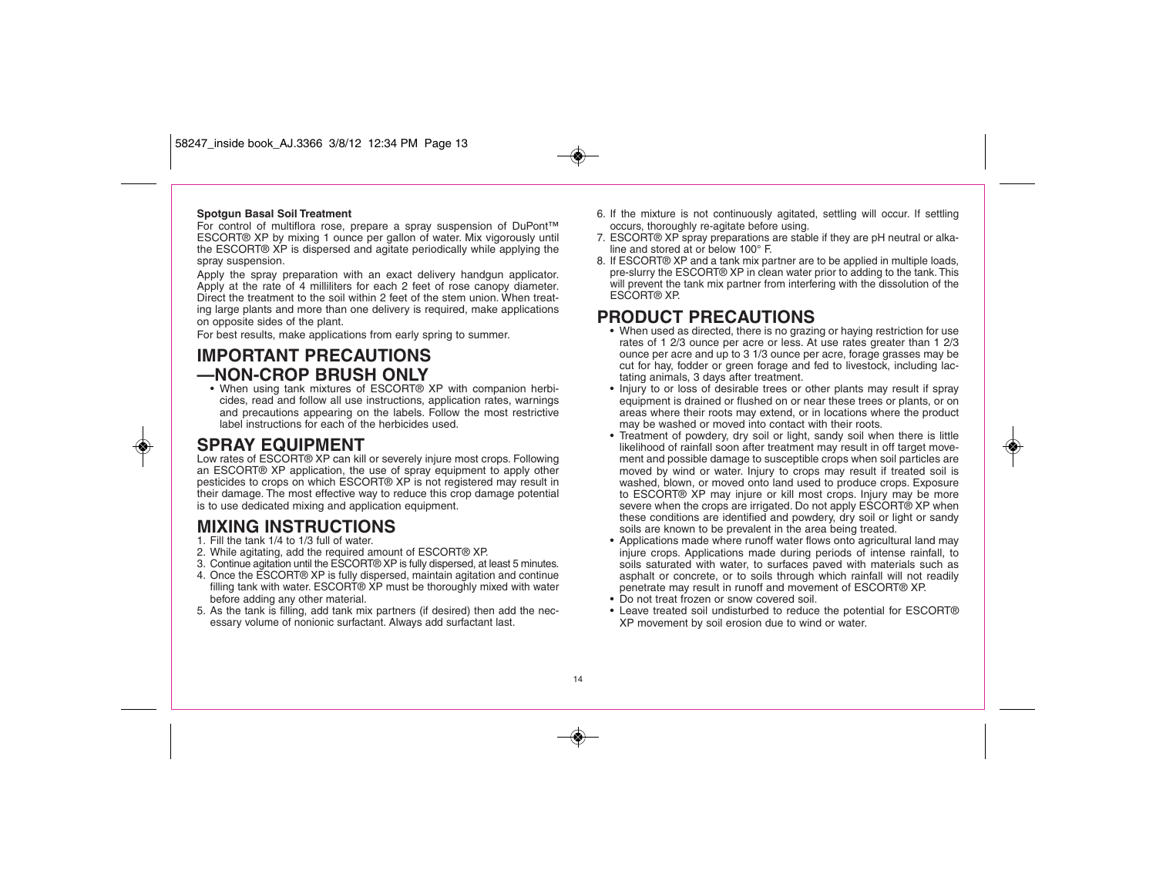#### **Spotgun Basal Soil Treatment**

For control of multiflora rose, prepare a spray suspension of DuPont™ ESCORT® XP by mixing 1 ounce per gallon of water. Mix vigorously until the ESCORT® XP is dispersed and agitate periodically while applying the spray suspension.

Apply the spray preparation with an exact delivery handgun applicator. Apply at the rate of 4 milliliters for each 2 feet of rose canopy diameter. Direct the treatment to the soil within 2 feet of the stem union. When treating large plants and more than one delivery is required, make applications on opposite sides of the plant.

For best results, make applications from early spring to summer.

### **IMPORTANT PRECAUTIONS —NON-CROP BRUSH ONLY**

• When using tank mixtures of ESCORT® XP with companion herbicides, read and follow all use instructions, application rates, warnings and precautions appearing on the labels. Follow the most restrictive label instructions for each of the herbicides used.

### **SPRAY EQUIPMENT**

◈

Low rates of ESCORT® XP can kill or severely injure most crops. Following an ESCORT® XP application, the use of spray equipment to apply other pesticides to crops on which ESCORT® XP is not registered may result in their damage. The most effective way to reduce this crop damage potential is to use dedicated mixing and application equipment.

### **MIXING INSTRUCTIONS**

1. Fill the tank 1/4 to 1/3 full of water.

- 2. While agitating, add the required amount of ESCORT® XP.
- 3. Continue agitation until the ESCORT® XP is fully dispersed, at least 5 minutes.
- 4. Once the ESCORT® XP is fully dispersed, maintain agitation and continue filling tank with water. ESCORT® XP must be thoroughly mixed with water before adding any other material.
- 5. As the tank is filling, add tank mix partners (if desired) then add the necessary volume of nonionic surfactant. Always add surfactant last.
- 6. If the mixture is not continuously agitated, settling will occur. If settling occurs, thoroughly re-agitate before using.
- 7. ESCORT® XP spray preparations are stable if they are pH neutral or alkaline and stored at or below 100° F.
- 8. If ESCORT® XP and a tank mix partner are to be applied in multiple loads, pre-slurry the ESCORT® XP in clean water prior to adding to the tank. This will prevent the tank mix partner from interfering with the dissolution of the ESCORT® XP.

### **PRODUCT PRECAUTIONS**

- When used as directed, there is no grazing or haying restriction for use rates of 1 2/3 ounce per acre or less. At use rates greater than 1 2/3 ounce per acre and up to 3 1/3 ounce per acre, forage grasses may be cut for hay, fodder or green forage and fed to livestock, including lactating animals, 3 days after treatment.
- Injury to or loss of desirable trees or other plants may result if spray equipment is drained or flushed on or near these trees or plants, or on areas where their roots may extend, or in locations where the product may be washed or moved into contact with their roots.
- Treatment of powdery, dry soil or light, sandy soil when there is little likelihood of rainfall soon after treatment may result in off target movement and possible damage to susceptible crops when soil particles are moved by wind or water. Injury to crops may result if treated soil is washed, blown, or moved onto land used to produce crops. Exposure to ESCORT® XP may injure or kill most crops. Injury may be more severe when the crops are irrigated. Do not apply ESCORT® XP when these conditions are identified and powdery, dry soil or light or sandy soils are known to be prevalent in the area being treated.
- Applications made where runoff water flows onto agricultural land may injure crops. Applications made during periods of intense rainfall, to soils saturated with water, to surfaces paved with materials such as asphalt or concrete, or to soils through which rainfall will not readily penetrate may result in runoff and movement of ESCORT® XP.
- Do not treat frozen or snow covered soil.
- Leave treated soil undisturbed to reduce the potential for ESCORT® XP movement by soil erosion due to wind or water.

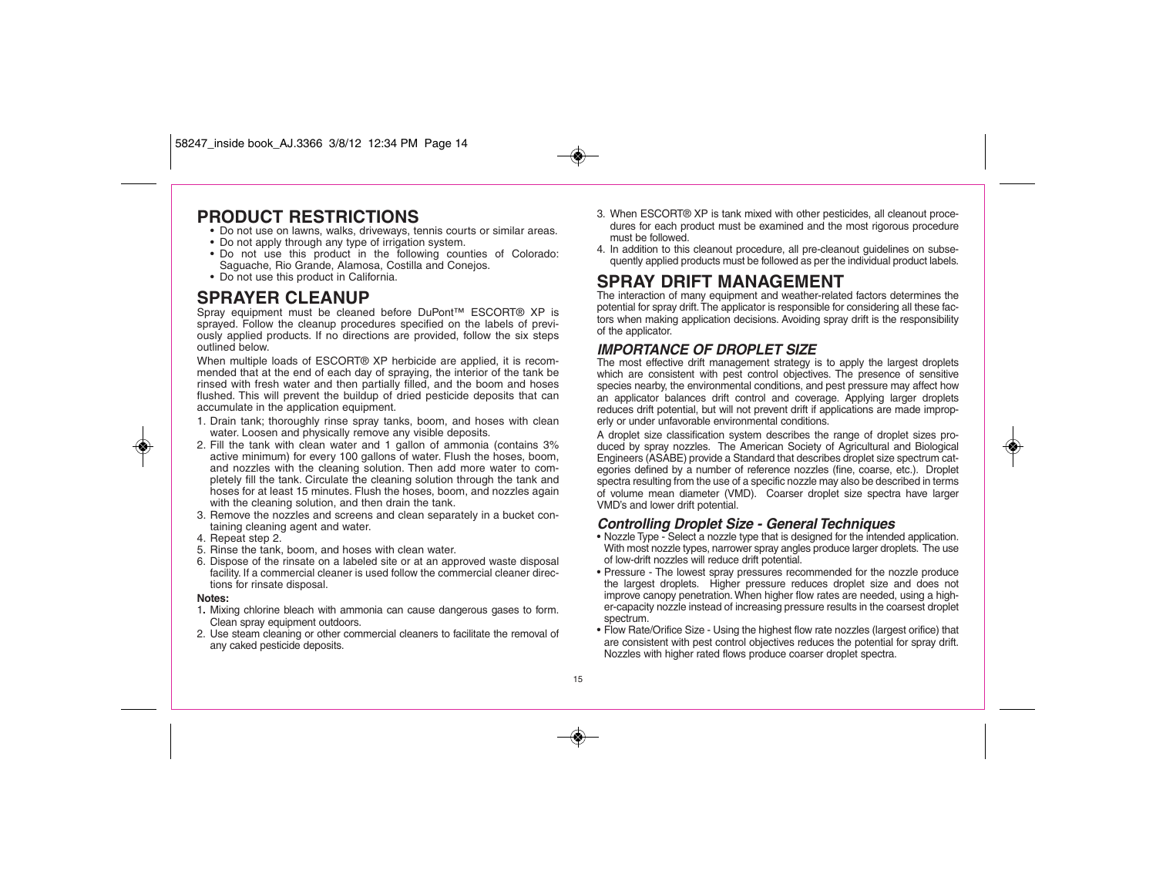### **PRODUCT RESTRICTIONS**

- Do not use on lawns, walks, driveways, tennis courts or similar areas.
- Do not apply through any type of irrigation system.
- Do not use this product in the following counties of Colorado: Saguache, Rio Grande, Alamosa, Costilla and Conejos.
- Do not use this product in California.

### **SPRAYER CLEANUP**

Spray equipment must be cleaned before DuPont™ ESCORT® XP is sprayed. Follow the cleanup procedures specified on the labels of previously applied products. If no directions are provided, follow the six steps outlined below.

When multiple loads of ESCORT<sup>®</sup> XP herbicide are applied, it is recommended that at the end of each day of spraying, the interior of the tank be rinsed with fresh water and then partially filled, and the boom and hoses flushed. This will prevent the buildup of dried pesticide deposits that can accumulate in the application equipment.

- 1. Drain tank; thoroughly rinse spray tanks, boom, and hoses with clean water. Loosen and physically remove any visible deposits.
- 2. Fill the tank with clean water and 1 gallon of ammonia (contains 3% active minimum) for every 100 gallons of water. Flush the hoses, boom, and nozzles with the cleaning solution. Then add more water to completely fill the tank. Circulate the cleaning solution through the tank and hoses for at least 15 minutes. Flush the hoses, boom, and nozzles again with the cleaning solution, and then drain the tank.
- 3. Remove the nozzles and screens and clean separately in a bucket containing cleaning agent and water.
- 4. Repeat step 2.
- 5. Rinse the tank, boom, and hoses with clean water.
- 6. Dispose of the rinsate on a labeled site or at an approved waste disposal facility. If a commercial cleaner is used follow the commercial cleaner directions for rinsate disposal.

#### **Notes:**

◈

- 1**.** Mixing chlorine bleach with ammonia can cause dangerous gases to form. Clean spray equipment outdoors.
- 2. Use steam cleaning or other commercial cleaners to facilitate the removal of any caked pesticide deposits.
- 3. When ESCORT® XP is tank mixed with other pesticides, all cleanout procedures for each product must be examined and the most rigorous procedure must be followed.
- 4. In addition to this cleanout procedure, all pre-cleanout guidelines on subsequently applied products must be followed as per the individual product labels.

### **SPRAY DRIFT MANAGEMENT**

The interaction of many equipment and weather-related factors determines the potential for spray drift. The applicator is responsible for considering all these factors when making application decisions. Avoiding spray drift is the responsibility of the applicator.

### **IMPORTANCE OF DROPLET SIZE**

The most effective drift management strategy is to apply the largest droplets which are consistent with pest control objectives. The presence of sensitive species nearby, the environmental conditions, and pest pressure may affect how an applicator balances drift control and coverage. Applying larger droplets reduces drift potential, but will not prevent drift if applications are made improperly or under unfavorable environmental conditions.

A droplet size classification system describes the range of droplet sizes produced by spray nozzles. The American Society of Agricultural and Biological Engineers (ASABE) provide a Standard that describes droplet size spectrum categories defined by a number of reference nozzles (fine, coarse, etc.). Droplet spectra resulting from the use of a specific nozzle may also be described in terms of volume mean diameter (VMD). Coarser droplet size spectra have larger VMD's and lower drift potential.

#### **Controlling Droplet Size - General Techniques**

- Nozzle Type Select a nozzle type that is designed for the intended application. With most nozzle types, narrower spray angles produce larger droplets. The use of low-drift nozzles will reduce drift potential.
- Pressure The lowest spray pressures recommended for the nozzle produce the largest droplets. Higher pressure reduces droplet size and does not improve canopy penetration. When higher flow rates are needed, using a higher-capacity nozzle instead of increasing pressure results in the coarsest droplet spectrum.
- Flow Rate/Orifice Size Using the highest flow rate nozzles (largest orifice) that are consistent with pest control objectives reduces the potential for spray drift. Nozzles with higher rated flows produce coarser droplet spectra.

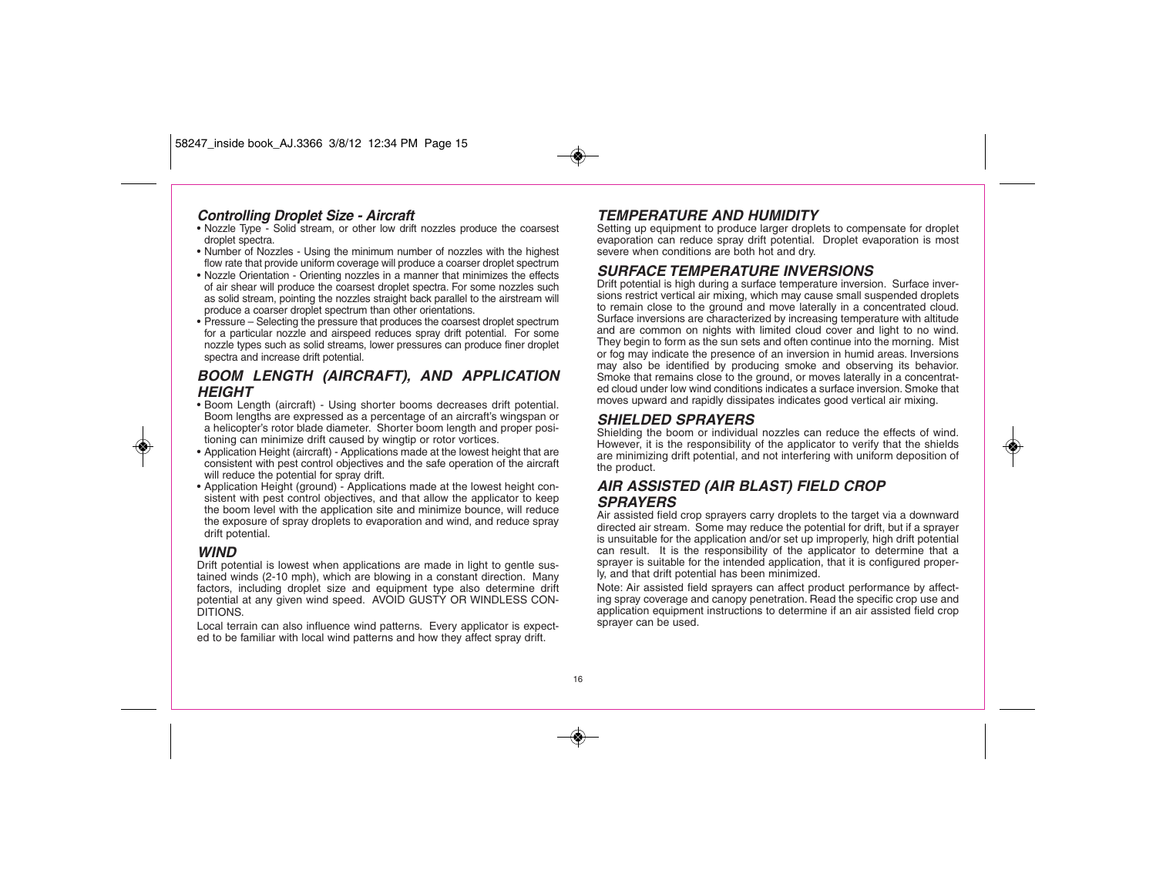#### **Controlling Droplet Size - Aircraft**

- Nozzle Type Solid stream, or other low drift nozzles produce the coarsest droplet spectra.
- Number of Nozzles Using the minimum number of nozzles with the highest flow rate that provide uniform coverage will produce a coarser droplet spectrum
- Nozzle Orientation Orienting nozzles in a manner that minimizes the effects of air shear will produce the coarsest droplet spectra. For some nozzles such as solid stream, pointing the nozzles straight back parallel to the airstream will produce a coarser droplet spectrum than other orientations.
- Pressure Selecting the pressure that produces the coarsest droplet spectrum for a particular nozzle and airspeed reduces spray drift potential. For some nozzle types such as solid streams, lower pressures can produce finer droplet spectra and increase drift potential.

### **BOOM LENGTH (AIRCRAFT), AND APPLICATION HEIGHT**

- Boom Length (aircraft) Using shorter booms decreases drift potential. Boom lengths are expressed as a percentage of an aircraft's wingspan or a helicopter's rotor blade diameter. Shorter boom length and proper positioning can minimize drift caused by wingtip or rotor vortices.
- Application Height (aircraft) Applications made at the lowest height that are consistent with pest control objectives and the safe operation of the aircraft will reduce the potential for spray drift.
- Application Height (ground) Applications made at the lowest height consistent with pest control objectives, and that allow the applicator to keep the boom level with the application site and minimize bounce, will reduce the exposure of spray droplets to evaporation and wind, and reduce spray drift potential.

#### **WIND**

◈

Drift potential is lowest when applications are made in light to gentle sustained winds (2-10 mph), which are blowing in a constant direction. Many factors, including droplet size and equipment type also determine drift potential at any given wind speed. AVOID GUSTY OR WINDLESS CON-DITIONS.

Local terrain can also influence wind patterns. Every applicator is expected to be familiar with local wind patterns and how they affect spray drift.

### **TEMPERATURE AND HUMIDITY**

Setting up equipment to produce larger droplets to compensate for droplet evaporation can reduce spray drift potential. Droplet evaporation is most severe when conditions are both hot and dry.

#### **SURFACE TEMPERATURE INVERSIONS**

Drift potential is high during a surface temperature inversion. Surface inversions restrict vertical air mixing, which may cause small suspended droplets to remain close to the ground and move laterally in a concentrated cloud. Surface inversions are characterized by increasing temperature with altitude and are common on nights with limited cloud cover and light to no wind. They begin to form as the sun sets and often continue into the morning. Mist or fog may indicate the presence of an inversion in humid areas. Inversions may also be identified by producing smoke and observing its behavior. Smoke that remains close to the ground, or moves laterally in a concentrated cloud under low wind conditions indicates a surface inversion. Smoke that moves upward and rapidly dissipates indicates good vertical air mixing.

#### **SHIELDED SPRAYERS**

Shielding the boom or individual nozzles can reduce the effects of wind. However, it is the responsibility of the applicator to verify that the shields are minimizing drift potential, and not interfering with uniform deposition of the product.

### **AIR ASSISTED (AIR BLAST) FIELD CROP SPRAYERS**

Air assisted field crop sprayers carry droplets to the target via a downward directed air stream. Some may reduce the potential for drift, but if a sprayer is unsuitable for the application and/or set up improperly, high drift potential can result. It is the responsibility of the applicator to determine that a sprayer is suitable for the intended application, that it is configured properly, and that drift potential has been minimized.

Note: Air assisted field sprayers can affect product performance by affecting spray coverage and canopy penetration. Read the specific crop use and application equipment instructions to determine if an air assisted field crop sprayer can be used.

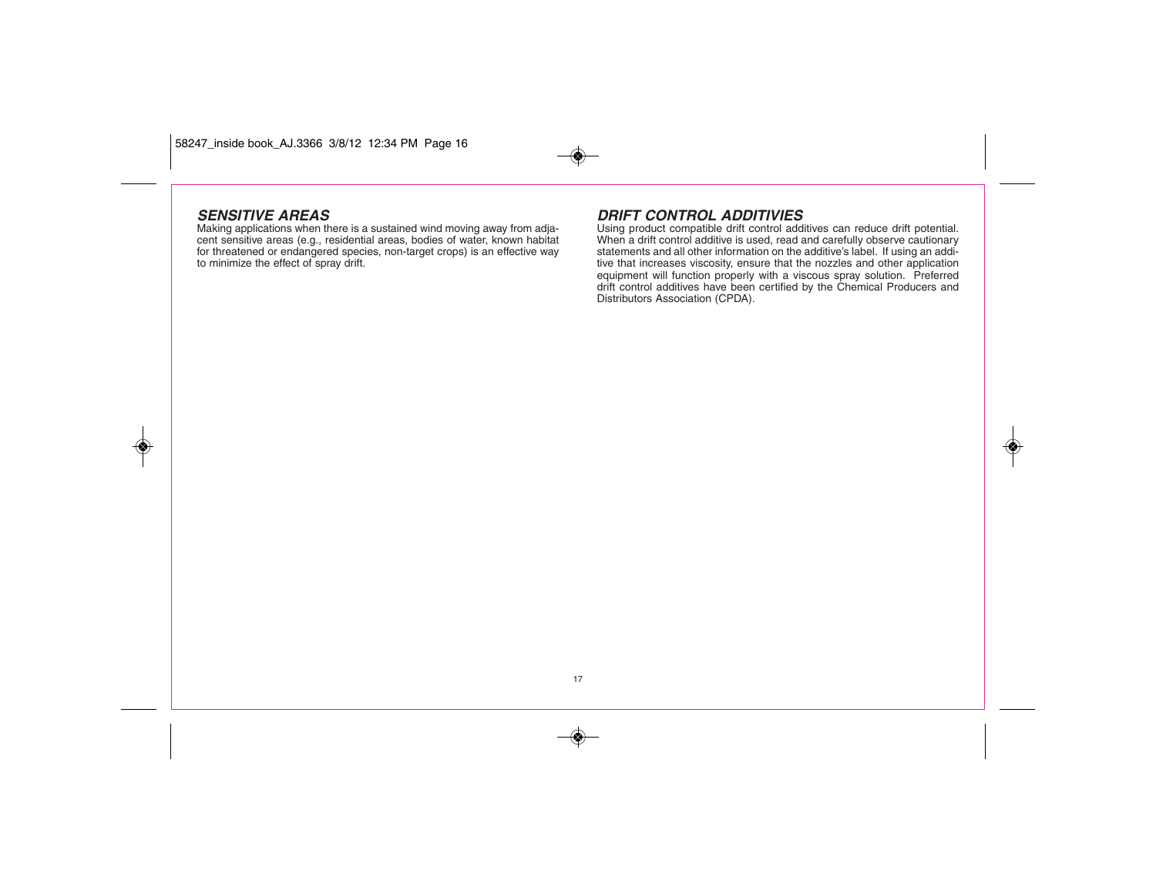### **SENSITIVE AREAS**

◈

Making applications when there is a sustained wind moving away from adjacent sensitive areas (e.g., residential areas, bodies of water, known habitat for threatened or endangered species, non-target crops) is an effective way to minimize the effect of spray drift.

### **DRIFT CONTROL ADDITIVIES**

Using product compatible drift control additives can reduce drift potential. When a drift control additive is used, read and carefully observe cautionary statements and all other information on the additive's label. If using an additive that increases viscosity, ensure that the nozzles and other application equipment will function properly with a viscous spray solution. Preferred drift control additives have been certified by the Chemical Producers and Distributors Association (CPDA).

◈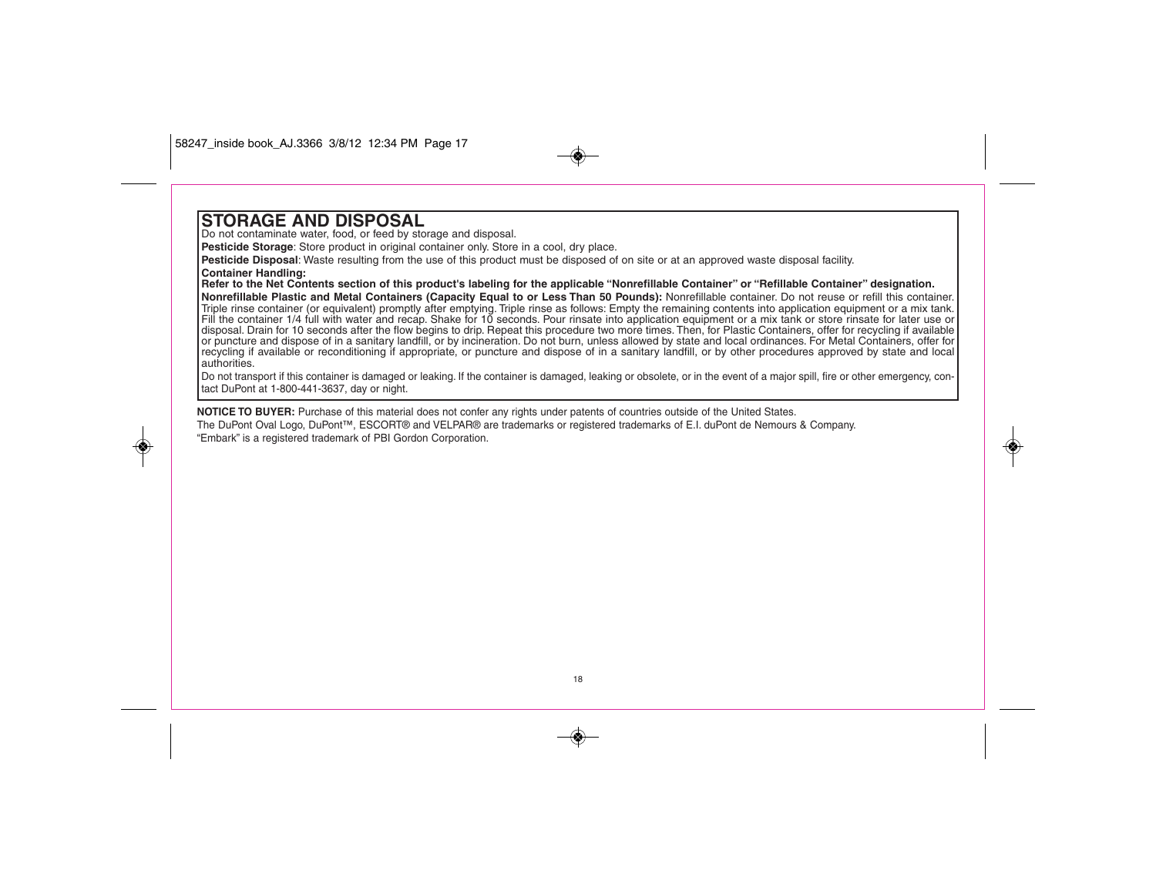### **STORAGE AND DISPOSAL**

◈

Do not contaminate water, food, or feed by storage and disposal.

**Pesticide Storage**: Store product in original container only. Store in a cool, dry place.

**Pesticide Disposal**: Waste resulting from the use of this product must be disposed of on site or at an approved waste disposal facility. **Container Handling:** 

#### **Refer to the Net Contents section of this product's labeling for the applicable "Nonrefillable Container" or "Refillable Container" designation.**

**Nonrefillable Plastic and Metal Containers (Capacity Equal to or Less Than 50 Pounds):** Nonrefillable container. Do not reuse or refill this container. Triple rinse container (or equivalent) promptly after emptying. Triple rinse as follows: Empty the remaining contents into application equipment or a mix tank. Fill the container 1/4 full with water and recap. Shake for 10 seconds. Pour rinsate into application equipment or a mix tank or store rinsate for later use or disposal. Drain for 10 seconds after the flow begins to drip. Repeat this procedure two more times. Then, for Plastic Containers, offer for recycling if available or puncture and dispose of in a sanitary landfill, or by incineration. Do not burn, unless allowed by state and local ordinances. For Metal Containers, offer for recycling if available or reconditioning if appropriate, or puncture and dispose of in a sanitary landfill, or by other procedures approved by state and local authorities.

Do not transport if this container is damaged or leaking. If the container is damaged, leaking or obsolete, or in the event of a major spill, fire or other emergency, contact DuPont at 1-800-441-3637, day or night.

**NOTICE TO BUYER:** Purchase of this material does not confer any rights under patents of countries outside of the United States. The DuPont Oval Logo, DuPont™, ESCORT® and VELPAR® are trademarks or registered trademarks of E.I. duPont de Nemours & Company. "Embark" is a registered trademark of PBI Gordon Corporation.

18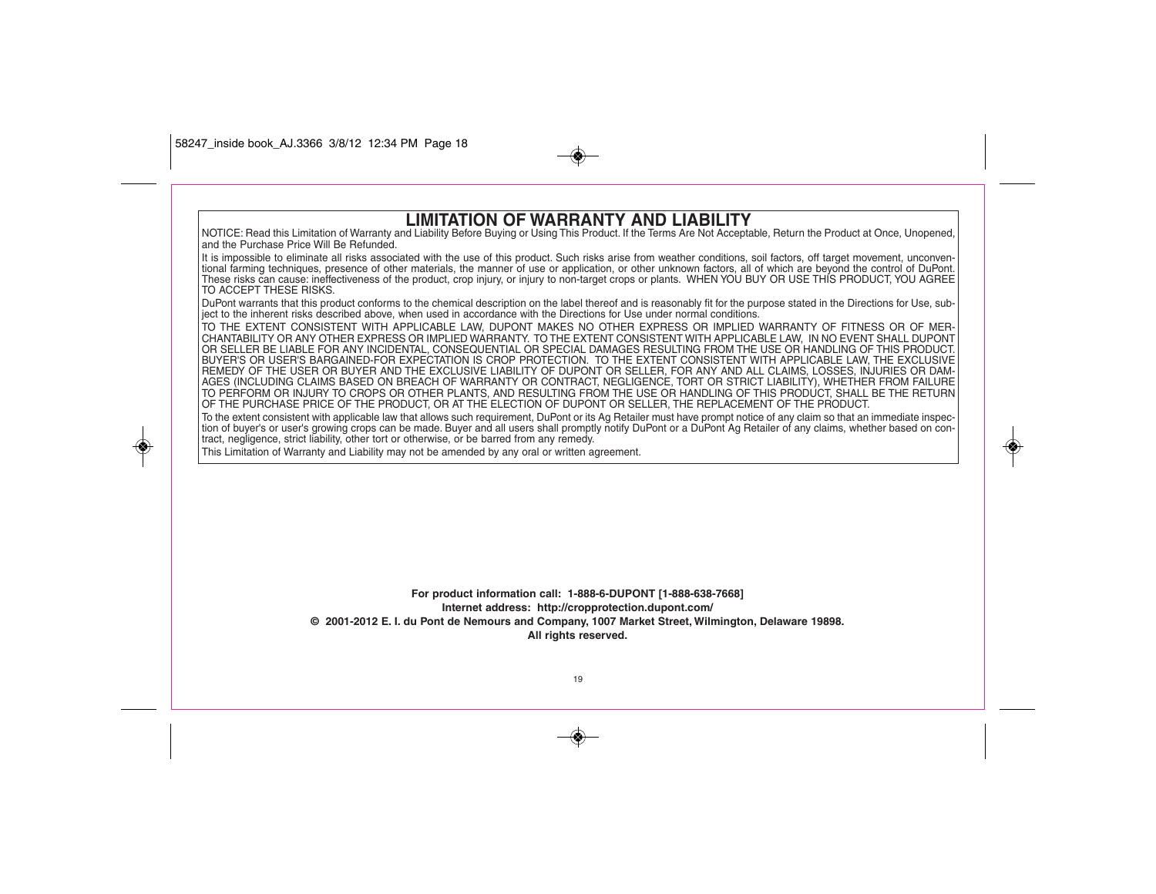